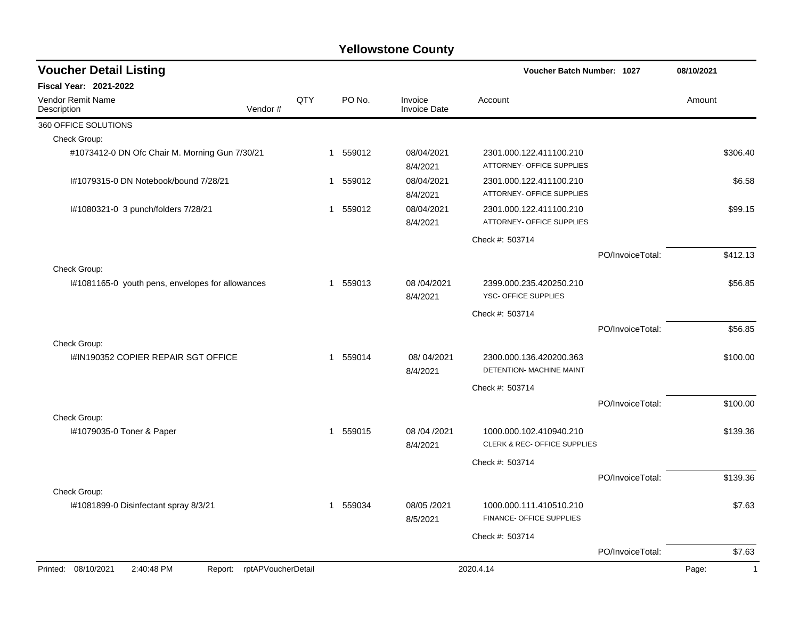| <b>Voucher Detail Listing</b>                                      |     |                |        |                                | Voucher Batch Number: 1027                                         |                  | 08/10/2021            |
|--------------------------------------------------------------------|-----|----------------|--------|--------------------------------|--------------------------------------------------------------------|------------------|-----------------------|
| <b>Fiscal Year: 2021-2022</b>                                      |     |                |        |                                |                                                                    |                  |                       |
| Vendor Remit Name<br>Vendor#<br>Description                        | QTY |                | PO No. | Invoice<br><b>Invoice Date</b> | Account                                                            |                  | Amount                |
| 360 OFFICE SOLUTIONS                                               |     |                |        |                                |                                                                    |                  |                       |
| Check Group:                                                       |     |                |        |                                |                                                                    |                  |                       |
| #1073412-0 DN Ofc Chair M. Morning Gun 7/30/21                     |     | 1              | 559012 | 08/04/2021<br>8/4/2021         | 2301.000.122.411100.210<br>ATTORNEY- OFFICE SUPPLIES               |                  | \$306.40              |
| I#1079315-0 DN Notebook/bound 7/28/21                              |     | 1              | 559012 | 08/04/2021<br>8/4/2021         | 2301.000.122.411100.210<br>ATTORNEY- OFFICE SUPPLIES               |                  | \$6.58                |
| I#1080321-0 3 punch/folders 7/28/21                                |     | $\mathbf{1}$   | 559012 | 08/04/2021<br>8/4/2021         | 2301.000.122.411100.210<br>ATTORNEY- OFFICE SUPPLIES               |                  | \$99.15               |
|                                                                    |     |                |        |                                | Check #: 503714                                                    |                  |                       |
|                                                                    |     |                |        |                                |                                                                    | PO/InvoiceTotal: | \$412.13              |
| Check Group:                                                       |     |                |        |                                |                                                                    |                  |                       |
| I#1081165-0 youth pens, envelopes for allowances                   |     | $\mathbf{1}$   | 559013 | 08/04/2021<br>8/4/2021         | 2399.000.235.420250.210<br>YSC- OFFICE SUPPLIES                    |                  | \$56.85               |
|                                                                    |     |                |        |                                | Check #: 503714                                                    |                  |                       |
|                                                                    |     |                |        |                                |                                                                    | PO/InvoiceTotal: | \$56.85               |
| Check Group:                                                       |     |                |        |                                |                                                                    |                  |                       |
| I#IN190352 COPIER REPAIR SGT OFFICE                                |     | $\mathbf{1}$   | 559014 | 08/04/2021<br>8/4/2021         | 2300.000.136.420200.363<br>DETENTION- MACHINE MAINT                |                  | \$100.00              |
|                                                                    |     |                |        |                                | Check #: 503714                                                    |                  |                       |
|                                                                    |     |                |        |                                |                                                                    | PO/InvoiceTotal: | \$100.00              |
| Check Group:                                                       |     |                |        |                                |                                                                    |                  |                       |
| I#1079035-0 Toner & Paper                                          |     | $\overline{1}$ | 559015 | 08 / 04 / 2021<br>8/4/2021     | 1000.000.102.410940.210<br><b>CLERK &amp; REC- OFFICE SUPPLIES</b> |                  | \$139.36              |
|                                                                    |     |                |        |                                | Check #: 503714                                                    |                  |                       |
|                                                                    |     |                |        |                                |                                                                    | PO/InvoiceTotal: | \$139.36              |
| Check Group:                                                       |     |                |        |                                |                                                                    |                  |                       |
| I#1081899-0 Disinfectant spray 8/3/21                              |     | 1              | 559034 | 08/05 /2021<br>8/5/2021        | 1000.000.111.410510.210<br>FINANCE- OFFICE SUPPLIES                |                  | \$7.63                |
|                                                                    |     |                |        |                                | Check #: 503714                                                    |                  |                       |
|                                                                    |     |                |        |                                |                                                                    | PO/InvoiceTotal: | \$7.63                |
| Printed: 08/10/2021<br>2:40:48 PM<br>rptAPVoucherDetail<br>Report: |     |                |        |                                | 2020.4.14                                                          |                  | $\mathbf{1}$<br>Page: |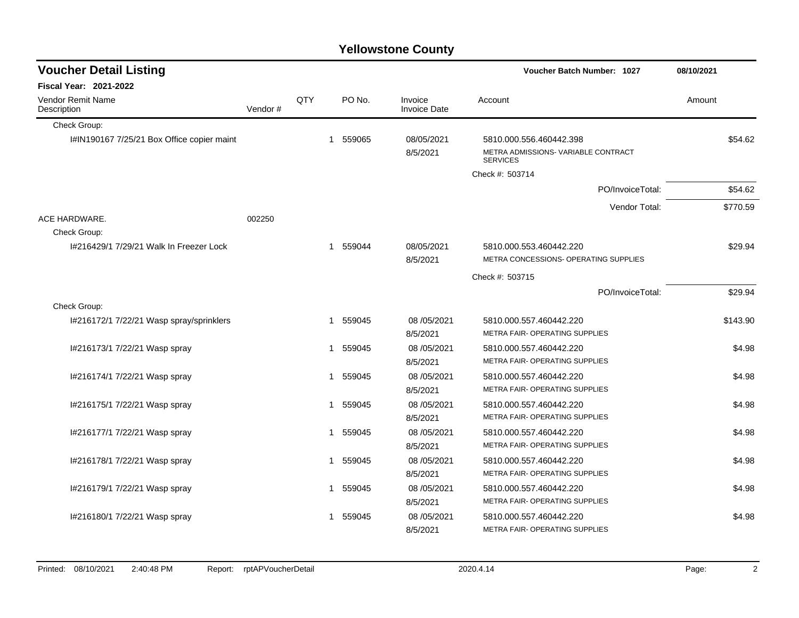| <b>Voucher Detail Listing</b>              |         |     |                        |                                | <b>Voucher Batch Number: 1027</b>                      | 08/10/2021 |
|--------------------------------------------|---------|-----|------------------------|--------------------------------|--------------------------------------------------------|------------|
| <b>Fiscal Year: 2021-2022</b>              |         |     |                        |                                |                                                        |            |
| <b>Vendor Remit Name</b><br>Description    | Vendor# | QTY | PO No.                 | Invoice<br><b>Invoice Date</b> | Account                                                | Amount     |
| Check Group:                               |         |     |                        |                                |                                                        |            |
| I#IN190167 7/25/21 Box Office copier maint |         |     | 559065<br>$\mathbf{1}$ | 08/05/2021                     | 5810.000.556.460442.398                                | \$54.62    |
|                                            |         |     |                        | 8/5/2021                       | METRA ADMISSIONS- VARIABLE CONTRACT<br><b>SERVICES</b> |            |
|                                            |         |     |                        |                                | Check #: 503714                                        |            |
|                                            |         |     |                        |                                | PO/InvoiceTotal:                                       | \$54.62    |
|                                            |         |     |                        |                                | Vendor Total:                                          | \$770.59   |
| ACE HARDWARE.                              | 002250  |     |                        |                                |                                                        |            |
| Check Group:                               |         |     |                        |                                |                                                        |            |
| 1#216429/1 7/29/21 Walk In Freezer Lock    |         |     | 1 559044               | 08/05/2021                     | 5810.000.553.460442.220                                | \$29.94    |
|                                            |         |     |                        | 8/5/2021                       | METRA CONCESSIONS- OPERATING SUPPLIES                  |            |
|                                            |         |     |                        |                                | Check #: 503715                                        |            |
|                                            |         |     |                        |                                | PO/InvoiceTotal:                                       | \$29.94    |
| Check Group:                               |         |     |                        |                                |                                                        |            |
| I#216172/1 7/22/21 Wasp spray/sprinklers   |         |     | 1 559045               | 08/05/2021                     | 5810.000.557.460442.220                                | \$143.90   |
|                                            |         |     |                        | 8/5/2021                       | METRA FAIR- OPERATING SUPPLIES                         |            |
| I#216173/1 7/22/21 Wasp spray              |         |     | 559045<br>1            | 08/05/2021                     | 5810.000.557.460442.220                                | \$4.98     |
|                                            |         |     |                        | 8/5/2021                       | METRA FAIR- OPERATING SUPPLIES                         |            |
| I#216174/1 7/22/21 Wasp spray              |         |     | 559045<br>$\mathbf{1}$ | 08/05/2021                     | 5810.000.557.460442.220                                | \$4.98     |
|                                            |         |     |                        | 8/5/2021                       | METRA FAIR-OPERATING SUPPLIES                          |            |
| I#216175/1 7/22/21 Wasp spray              |         |     | 559045<br>$\mathbf{1}$ | 08/05/2021                     | 5810.000.557.460442.220                                | \$4.98     |
|                                            |         |     |                        | 8/5/2021                       | METRA FAIR-OPERATING SUPPLIES                          |            |
| I#216177/1 7/22/21 Wasp spray              |         |     | 1 559045               | 08/05/2021                     | 5810.000.557.460442.220                                | \$4.98     |
|                                            |         |     |                        | 8/5/2021                       | METRA FAIR-OPERATING SUPPLIES                          |            |
| I#216178/1 7/22/21 Wasp spray              |         |     | 1 559045               | 08/05/2021                     | 5810.000.557.460442.220                                | \$4.98     |
|                                            |         |     |                        | 8/5/2021                       | METRA FAIR- OPERATING SUPPLIES                         |            |
| I#216179/1 7/22/21 Wasp spray              |         |     | 1 559045               | 08 / 05/2021                   | 5810.000.557.460442.220                                | \$4.98     |
|                                            |         |     |                        | 8/5/2021                       | METRA FAIR- OPERATING SUPPLIES                         |            |
| I#216180/1 7/22/21 Wasp spray              |         |     | 559045<br>1            | 08 / 05/2021                   | 5810.000.557.460442.220                                | \$4.98     |
|                                            |         |     |                        | 8/5/2021                       | METRA FAIR-OPERATING SUPPLIES                          |            |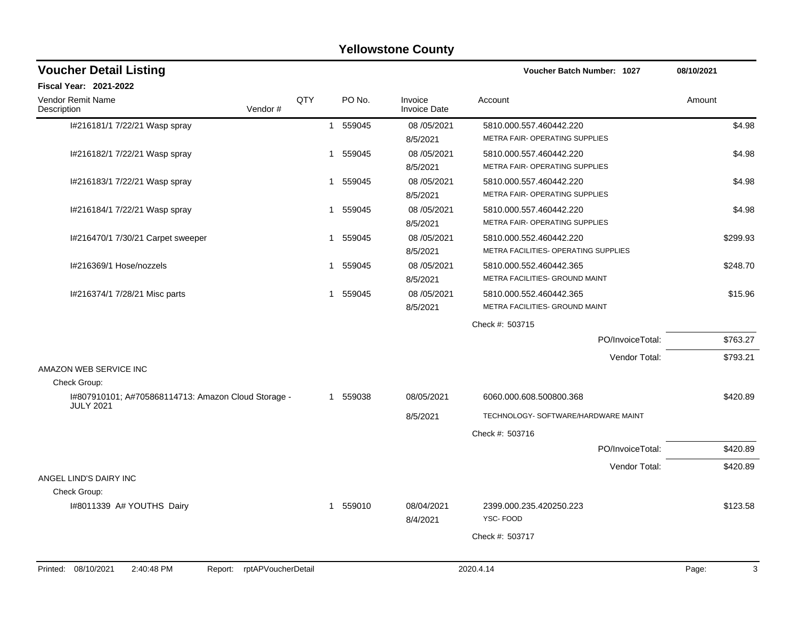| <b>Voucher Detail Listing</b>                                                           |     |                        |                                | <b>Voucher Batch Number: 1027</b>                               | 08/10/2021 |
|-----------------------------------------------------------------------------------------|-----|------------------------|--------------------------------|-----------------------------------------------------------------|------------|
| <b>Fiscal Year: 2021-2022</b>                                                           |     |                        |                                |                                                                 |            |
| Vendor Remit Name<br>Vendor#<br>Description                                             | QTY | PO No.                 | Invoice<br><b>Invoice Date</b> | Account                                                         | Amount     |
| I#216181/1 7/22/21 Wasp spray                                                           |     | 1 559045               | 08 / 05/2021<br>8/5/2021       | 5810.000.557.460442.220<br>METRA FAIR- OPERATING SUPPLIES       | \$4.98     |
| I#216182/1 7/22/21 Wasp spray                                                           |     | 559045<br>$\mathbf{1}$ | 08/05/2021<br>8/5/2021         | 5810.000.557.460442.220<br>METRA FAIR- OPERATING SUPPLIES       | \$4.98     |
| I#216183/1 7/22/21 Wasp spray                                                           |     | 559045<br>$\mathbf{1}$ | 08/05/2021<br>8/5/2021         | 5810.000.557.460442.220<br>METRA FAIR- OPERATING SUPPLIES       | \$4.98     |
| I#216184/1 7/22/21 Wasp spray                                                           |     | 559045<br>1            | 08 / 05/2021<br>8/5/2021       | 5810.000.557.460442.220<br>METRA FAIR- OPERATING SUPPLIES       | \$4.98     |
| I#216470/1 7/30/21 Carpet sweeper                                                       |     | 559045<br>$\mathbf{1}$ | 08 / 05/2021<br>8/5/2021       | 5810.000.552.460442.220<br>METRA FACILITIES- OPERATING SUPPLIES | \$299.93   |
| I#216369/1 Hose/nozzels                                                                 |     | 559045<br>1            | 08 / 05/2021<br>8/5/2021       | 5810.000.552.460442.365<br>METRA FACILITIES- GROUND MAINT       | \$248.70   |
| I#216374/1 7/28/21 Misc parts                                                           | 1   | 559045                 | 08 / 05/2021<br>8/5/2021       | 5810.000.552.460442.365<br>METRA FACILITIES- GROUND MAINT       | \$15.96    |
|                                                                                         |     |                        |                                | Check #: 503715                                                 |            |
|                                                                                         |     |                        |                                | PO/InvoiceTotal:                                                | \$763.27   |
|                                                                                         |     |                        |                                | Vendor Total:                                                   | \$793.21   |
| AMAZON WEB SERVICE INC                                                                  |     |                        |                                |                                                                 |            |
| Check Group:<br>I#807910101; A#705868114713: Amazon Cloud Storage -<br><b>JULY 2021</b> |     | 1 559038               | 08/05/2021                     | 6060.000.608.500800.368                                         | \$420.89   |
|                                                                                         |     |                        | 8/5/2021                       | TECHNOLOGY- SOFTWARE/HARDWARE MAINT                             |            |
|                                                                                         |     |                        |                                | Check #: 503716                                                 |            |
|                                                                                         |     |                        |                                | PO/InvoiceTotal:                                                | \$420.89   |
|                                                                                         |     |                        |                                | Vendor Total:                                                   | \$420.89   |
| ANGEL LIND'S DAIRY INC<br>Check Group:                                                  |     |                        |                                |                                                                 |            |
| I#8011339 A# YOUTHS Dairy                                                               |     | 1 559010               | 08/04/2021<br>8/4/2021         | 2399.000.235.420250.223<br>YSC-FOOD                             | \$123.58   |
|                                                                                         |     |                        |                                | Check #: 503717                                                 |            |
| Printed: 08/10/2021<br>2:40:48 PM<br>rptAPVoucherDetail<br>Report:                      |     |                        |                                | 2020.4.14                                                       | 3<br>Page: |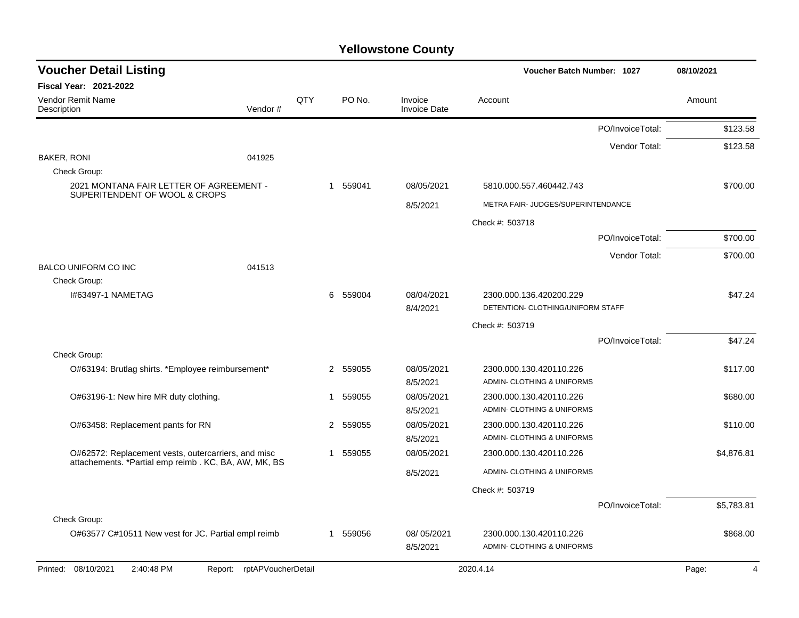| <b>Voucher Detail Listing</b>                                            |                            |     |                |          |                                | <b>Voucher Batch Number: 1027</b>                            |                  | 08/10/2021 |            |
|--------------------------------------------------------------------------|----------------------------|-----|----------------|----------|--------------------------------|--------------------------------------------------------------|------------------|------------|------------|
| <b>Fiscal Year: 2021-2022</b>                                            |                            |     |                |          |                                |                                                              |                  |            |            |
| <b>Vendor Remit Name</b><br>Description                                  | Vendor#                    | QTY |                | PO No.   | Invoice<br><b>Invoice Date</b> | Account                                                      |                  | Amount     |            |
|                                                                          |                            |     |                |          |                                |                                                              | PO/InvoiceTotal: |            | \$123.58   |
|                                                                          |                            |     |                |          |                                |                                                              | Vendor Total:    |            | \$123.58   |
| BAKER, RONI<br>Check Group:                                              | 041925                     |     |                |          |                                |                                                              |                  |            |            |
| 2021 MONTANA FAIR LETTER OF AGREEMENT -<br>SUPERITENDENT OF WOOL & CROPS |                            |     |                | 1 559041 | 08/05/2021                     | 5810.000.557.460442.743                                      |                  |            | \$700.00   |
|                                                                          |                            |     |                |          | 8/5/2021                       | METRA FAIR- JUDGES/SUPERINTENDANCE                           |                  |            |            |
|                                                                          |                            |     |                |          |                                | Check #: 503718                                              |                  |            |            |
|                                                                          |                            |     |                |          |                                |                                                              | PO/InvoiceTotal: |            | \$700.00   |
|                                                                          |                            |     |                |          |                                |                                                              | Vendor Total:    |            | \$700.00   |
| <b>BALCO UNIFORM CO INC</b><br>Check Group:                              | 041513                     |     |                |          |                                |                                                              |                  |            |            |
| <b>I#63497-1 NAMETAG</b>                                                 |                            |     | 6              | 559004   | 08/04/2021<br>8/4/2021         | 2300.000.136.420200.229<br>DETENTION- CLOTHING/UNIFORM STAFF |                  |            | \$47.24    |
|                                                                          |                            |     |                |          |                                | Check #: 503719                                              |                  |            |            |
|                                                                          |                            |     |                |          |                                |                                                              | PO/InvoiceTotal: |            | \$47.24    |
| Check Group:                                                             |                            |     |                |          |                                |                                                              |                  |            |            |
| O#63194: Brutlag shirts. *Employee reimbursement*                        |                            |     | 2              | 559055   | 08/05/2021<br>8/5/2021         | 2300.000.130.420110.226<br>ADMIN- CLOTHING & UNIFORMS        |                  |            | \$117.00   |
| O#63196-1: New hire MR duty clothing.                                    |                            |     | 1              | 559055   | 08/05/2021<br>8/5/2021         | 2300.000.130.420110.226<br>ADMIN- CLOTHING & UNIFORMS        |                  |            | \$680.00   |
| O#63458: Replacement pants for RN                                        |                            |     | $\overline{2}$ | 559055   | 08/05/2021<br>8/5/2021         | 2300.000.130.420110.226<br>ADMIN- CLOTHING & UNIFORMS        |                  |            | \$110.00   |
| O#62572: Replacement vests, outercarriers, and misc                      |                            |     | 1              | 559055   | 08/05/2021                     | 2300.000.130.420110.226                                      |                  |            | \$4,876.81 |
| attachements. *Partial emp reimb . KC, BA, AW, MK, BS                    |                            |     |                |          | 8/5/2021                       | ADMIN- CLOTHING & UNIFORMS                                   |                  |            |            |
|                                                                          |                            |     |                |          |                                | Check #: 503719                                              |                  |            |            |
|                                                                          |                            |     |                |          |                                |                                                              | PO/InvoiceTotal: |            | \$5,783.81 |
| Check Group:                                                             |                            |     |                |          |                                |                                                              |                  |            |            |
| O#63577 C#10511 New vest for JC. Partial empl reimb                      |                            |     |                | 1 559056 | 08/05/2021<br>8/5/2021         | 2300.000.130.420110.226<br>ADMIN- CLOTHING & UNIFORMS        |                  |            | \$868.00   |
| 2:40:48 PM<br>Printed: 08/10/2021                                        | Report: rptAPVoucherDetail |     |                |          |                                | 2020.4.14                                                    |                  | Page:      | 4          |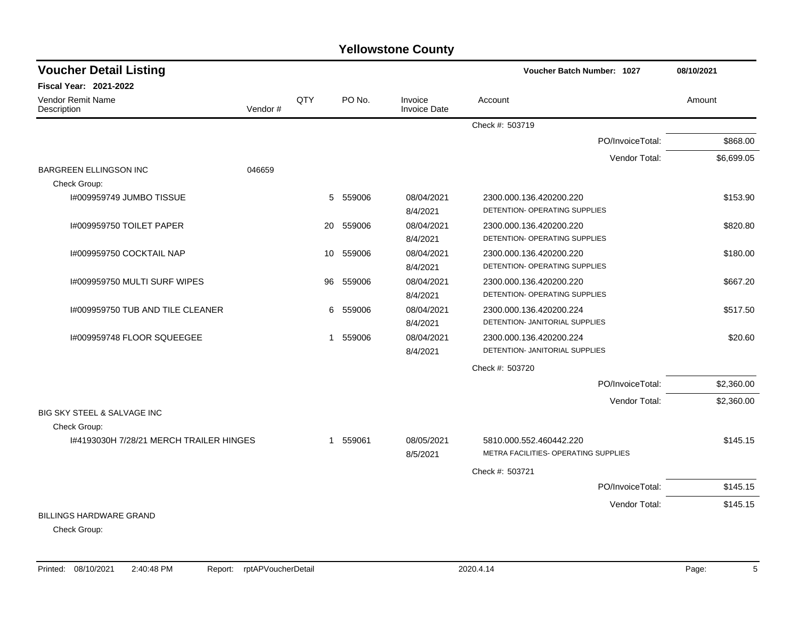| <b>Yellowstone County</b> |  |
|---------------------------|--|
|---------------------------|--|

| <b>Voucher Detail Listing</b>           |         |     |          |                                | Voucher Batch Number: 1027           | 08/10/2021 |
|-----------------------------------------|---------|-----|----------|--------------------------------|--------------------------------------|------------|
| Fiscal Year: 2021-2022                  |         |     |          |                                |                                      |            |
| Vendor Remit Name<br>Description        | Vendor# | QTY | PO No.   | Invoice<br><b>Invoice Date</b> | Account                              | Amount     |
|                                         |         |     |          |                                | Check #: 503719                      |            |
|                                         |         |     |          |                                | PO/InvoiceTotal:                     | \$868.00   |
|                                         |         |     |          |                                | Vendor Total:                        | \$6,699.05 |
| <b>BARGREEN ELLINGSON INC</b>           | 046659  |     |          |                                |                                      |            |
| Check Group:                            |         |     |          |                                |                                      |            |
| 1#009959749 JUMBO TISSUE                |         | 5   | 559006   | 08/04/2021                     | 2300.000.136.420200.220              | \$153.90   |
|                                         |         |     |          | 8/4/2021                       | DETENTION- OPERATING SUPPLIES        |            |
| I#009959750 TOILET PAPER                |         | 20  | 559006   | 08/04/2021                     | 2300.000.136.420200.220              | \$820.80   |
|                                         |         |     |          | 8/4/2021                       | DETENTION- OPERATING SUPPLIES        |            |
| I#009959750 COCKTAIL NAP                |         | 10  | 559006   | 08/04/2021                     | 2300.000.136.420200.220              | \$180.00   |
|                                         |         |     |          | 8/4/2021                       | DETENTION- OPERATING SUPPLIES        |            |
| 1#009959750 MULTI SURF WIPES            |         | 96  | 559006   | 08/04/2021                     | 2300.000.136.420200.220              | \$667.20   |
|                                         |         |     |          | 8/4/2021                       | DETENTION- OPERATING SUPPLIES        |            |
| 1#009959750 TUB AND TILE CLEANER        |         | 6   | 559006   | 08/04/2021                     | 2300.000.136.420200.224              | \$517.50   |
|                                         |         |     |          | 8/4/2021                       | DETENTION- JANITORIAL SUPPLIES       |            |
| I#009959748 FLOOR SQUEEGEE              |         | 1   | 559006   | 08/04/2021                     | 2300.000.136.420200.224              | \$20.60    |
|                                         |         |     |          | 8/4/2021                       | DETENTION- JANITORIAL SUPPLIES       |            |
|                                         |         |     |          |                                | Check #: 503720                      |            |
|                                         |         |     |          |                                | PO/InvoiceTotal:                     | \$2,360.00 |
|                                         |         |     |          |                                | Vendor Total:                        | \$2,360.00 |
| BIG SKY STEEL & SALVAGE INC             |         |     |          |                                |                                      |            |
| Check Group:                            |         |     |          |                                |                                      |            |
| I#4193030H 7/28/21 MERCH TRAILER HINGES |         |     | 1 559061 | 08/05/2021                     | 5810.000.552.460442.220              | \$145.15   |
|                                         |         |     |          | 8/5/2021                       | METRA FACILITIES- OPERATING SUPPLIES |            |
|                                         |         |     |          |                                | Check #: 503721                      |            |
|                                         |         |     |          |                                | PO/InvoiceTotal:                     | \$145.15   |
|                                         |         |     |          |                                | Vendor Total:                        | \$145.15   |
| <b>BILLINGS HARDWARE GRAND</b>          |         |     |          |                                |                                      |            |
| $O(1.21)$ $O(1.21)$                     |         |     |          |                                |                                      |            |

Check Group: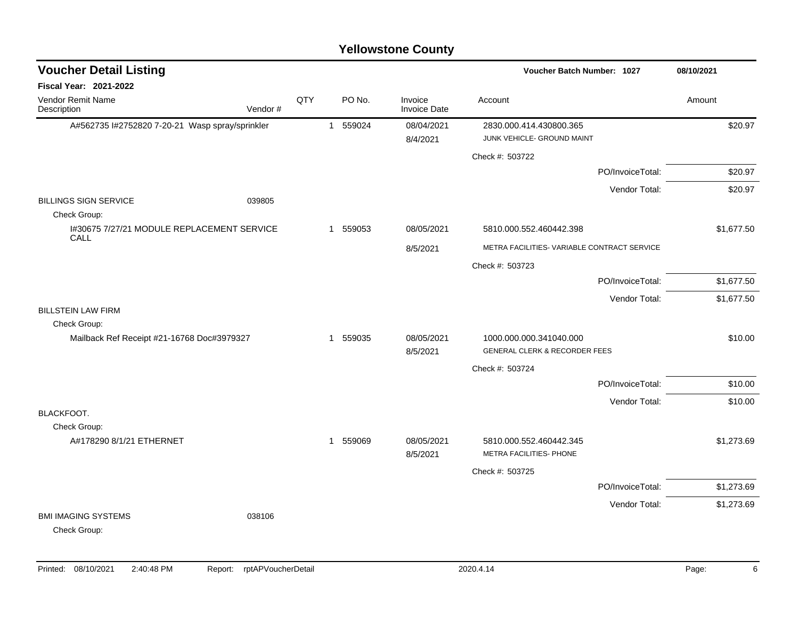| <b>Voucher Detail Listing</b>                              |         |     |              |        |                                | Voucher Batch Number: 1027                            | 08/10/2021       |            |
|------------------------------------------------------------|---------|-----|--------------|--------|--------------------------------|-------------------------------------------------------|------------------|------------|
| Fiscal Year: 2021-2022                                     |         |     |              |        |                                |                                                       |                  |            |
| Vendor Remit Name<br>Description                           | Vendor# | QTY |              | PO No. | Invoice<br><b>Invoice Date</b> | Account                                               |                  | Amount     |
| A#562735 I#2752820 7-20-21 Wasp spray/sprinkler            |         |     | $\mathbf{1}$ | 559024 | 08/04/2021<br>8/4/2021         | 2830.000.414.430800.365<br>JUNK VEHICLE- GROUND MAINT |                  | \$20.97    |
|                                                            |         |     |              |        |                                | Check #: 503722                                       |                  |            |
|                                                            |         |     |              |        |                                |                                                       | PO/InvoiceTotal: | \$20.97    |
|                                                            |         |     |              |        |                                |                                                       | Vendor Total:    | \$20.97    |
| <b>BILLINGS SIGN SERVICE</b><br>Check Group:               | 039805  |     |              |        |                                |                                                       |                  |            |
| I#30675 7/27/21 MODULE REPLACEMENT SERVICE<br>CALL         |         |     | $\mathbf{1}$ | 559053 | 08/05/2021                     | 5810.000.552.460442.398                               |                  | \$1,677.50 |
|                                                            |         |     |              |        | 8/5/2021                       | METRA FACILITIES- VARIABLE CONTRACT SERVICE           |                  |            |
|                                                            |         |     |              |        |                                | Check #: 503723                                       |                  |            |
|                                                            |         |     |              |        |                                |                                                       | PO/InvoiceTotal: | \$1,677.50 |
|                                                            |         |     |              |        |                                |                                                       | Vendor Total:    | \$1,677.50 |
| <b>BILLSTEIN LAW FIRM</b>                                  |         |     |              |        |                                |                                                       |                  |            |
| Check Group:<br>Mailback Ref Receipt #21-16768 Doc#3979327 |         |     | $\mathbf{1}$ | 559035 | 08/05/2021                     | 1000.000.000.341040.000                               |                  | \$10.00    |
|                                                            |         |     |              |        | 8/5/2021                       | <b>GENERAL CLERK &amp; RECORDER FEES</b>              |                  |            |
|                                                            |         |     |              |        |                                | Check #: 503724                                       |                  |            |
|                                                            |         |     |              |        |                                |                                                       | PO/InvoiceTotal: | \$10.00    |
|                                                            |         |     |              |        |                                |                                                       | Vendor Total:    | \$10.00    |
| <b>BLACKFOOT.</b>                                          |         |     |              |        |                                |                                                       |                  |            |
| Check Group:<br>A#178290 8/1/21 ETHERNET                   |         |     | $\mathbf{1}$ | 559069 | 08/05/2021                     | 5810.000.552.460442.345                               |                  | \$1,273.69 |
|                                                            |         |     |              |        | 8/5/2021                       | METRA FACILITIES- PHONE                               |                  |            |
|                                                            |         |     |              |        |                                | Check #: 503725                                       |                  |            |
|                                                            |         |     |              |        |                                |                                                       | PO/InvoiceTotal: | \$1,273.69 |
|                                                            |         |     |              |        |                                |                                                       | Vendor Total:    | \$1,273.69 |
| <b>BMI IMAGING SYSTEMS</b><br>Check Group:                 | 038106  |     |              |        |                                |                                                       |                  |            |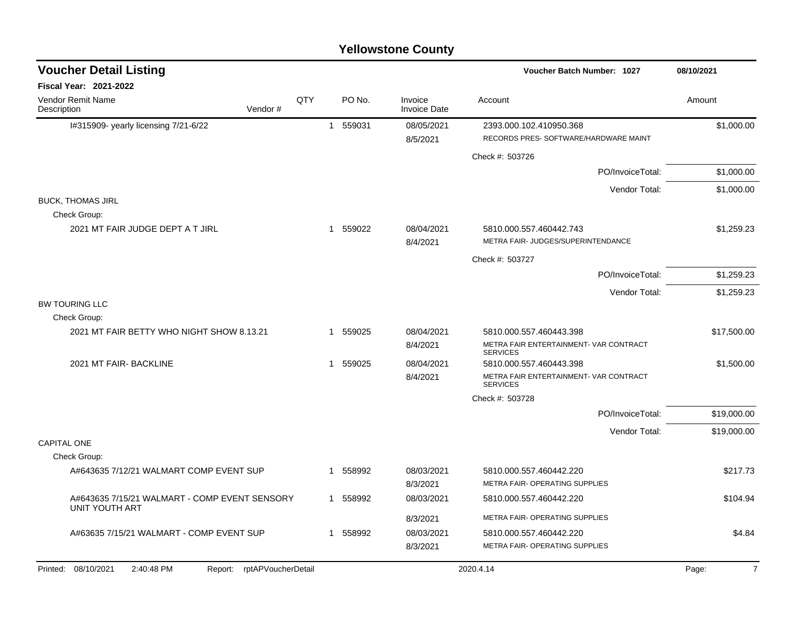| <b>Yellowstone County</b>                     |                            |     |          |                                |                                                                   |             |  |  |  |  |
|-----------------------------------------------|----------------------------|-----|----------|--------------------------------|-------------------------------------------------------------------|-------------|--|--|--|--|
| <b>Voucher Detail Listing</b>                 |                            |     |          |                                | <b>Voucher Batch Number: 1027</b>                                 | 08/10/2021  |  |  |  |  |
| Fiscal Year: 2021-2022                        |                            |     |          |                                |                                                                   |             |  |  |  |  |
| Vendor Remit Name<br>Description              | Vendor#                    | QTY | PO No.   | Invoice<br><b>Invoice Date</b> | Account                                                           | Amount      |  |  |  |  |
| I#315909- yearly licensing 7/21-6/22          |                            | -1  | 559031   | 08/05/2021                     | 2393.000.102.410950.368                                           | \$1,000.00  |  |  |  |  |
|                                               |                            |     |          | 8/5/2021                       | RECORDS PRES- SOFTWARE/HARDWARE MAINT                             |             |  |  |  |  |
|                                               |                            |     |          |                                | Check #: 503726                                                   |             |  |  |  |  |
|                                               |                            |     |          |                                | PO/InvoiceTotal:                                                  | \$1,000.00  |  |  |  |  |
|                                               |                            |     |          |                                | Vendor Total:                                                     | \$1,000.00  |  |  |  |  |
| <b>BUCK, THOMAS JIRL</b>                      |                            |     |          |                                |                                                                   |             |  |  |  |  |
| Check Group:                                  |                            |     |          |                                |                                                                   |             |  |  |  |  |
| 2021 MT FAIR JUDGE DEPT A T JIRL              |                            | -1  | 559022   | 08/04/2021<br>8/4/2021         | 5810.000.557.460442.743<br>METRA FAIR- JUDGES/SUPERINTENDANCE     | \$1,259.23  |  |  |  |  |
|                                               |                            |     |          |                                | Check #: 503727                                                   |             |  |  |  |  |
|                                               |                            |     |          |                                | PO/InvoiceTotal:                                                  | \$1,259.23  |  |  |  |  |
|                                               |                            |     |          |                                | Vendor Total:                                                     | \$1,259.23  |  |  |  |  |
| <b>BW TOURING LLC</b>                         |                            |     |          |                                |                                                                   |             |  |  |  |  |
| Check Group:                                  |                            |     |          |                                |                                                                   |             |  |  |  |  |
| 2021 MT FAIR BETTY WHO NIGHT SHOW 8.13.21     |                            | -1  | 559025   | 08/04/2021                     | 5810.000.557.460443.398<br>METRA FAIR ENTERTAINMENT- VAR CONTRACT | \$17,500.00 |  |  |  |  |
|                                               |                            |     |          | 8/4/2021                       | <b>SERVICES</b>                                                   |             |  |  |  |  |
| 2021 MT FAIR- BACKLINE                        |                            | -1  | 559025   | 08/04/2021                     | 5810.000.557.460443.398                                           | \$1,500.00  |  |  |  |  |
|                                               |                            |     |          | 8/4/2021                       | METRA FAIR ENTERTAINMENT- VAR CONTRACT<br><b>SERVICES</b>         |             |  |  |  |  |
|                                               |                            |     |          |                                | Check #: 503728                                                   |             |  |  |  |  |
|                                               |                            |     |          |                                | PO/InvoiceTotal:                                                  | \$19,000.00 |  |  |  |  |
|                                               |                            |     |          |                                | Vendor Total:                                                     | \$19,000.00 |  |  |  |  |
| CAPITAL ONE                                   |                            |     |          |                                |                                                                   |             |  |  |  |  |
| Check Group:                                  |                            |     |          |                                |                                                                   |             |  |  |  |  |
| A#643635 7/12/21 WALMART COMP EVENT SUP       |                            | 1   | 558992   | 08/03/2021<br>8/3/2021         | 5810.000.557.460442.220<br>METRA FAIR- OPERATING SUPPLIES         | \$217.73    |  |  |  |  |
| A#643635 7/15/21 WALMART - COMP EVENT SENSORY |                            |     | 1 558992 | 08/03/2021                     | 5810.000.557.460442.220                                           | \$104.94    |  |  |  |  |
| UNIT YOUTH ART                                |                            |     |          | 8/3/2021                       | METRA FAIR- OPERATING SUPPLIES                                    |             |  |  |  |  |
| A#63635 7/15/21 WALMART - COMP EVENT SUP      |                            |     | 1 558992 | 08/03/2021                     | 5810.000.557.460442.220                                           | \$4.84      |  |  |  |  |
|                                               |                            |     |          | 8/3/2021                       | <b>METRA FAIR- OPERATING SUPPLIES</b>                             |             |  |  |  |  |
| Printed: 08/10/2021<br>2:40:48 PM             | Report: rptAPVoucherDetail |     |          |                                | 2020.4.14                                                         | 7<br>Page:  |  |  |  |  |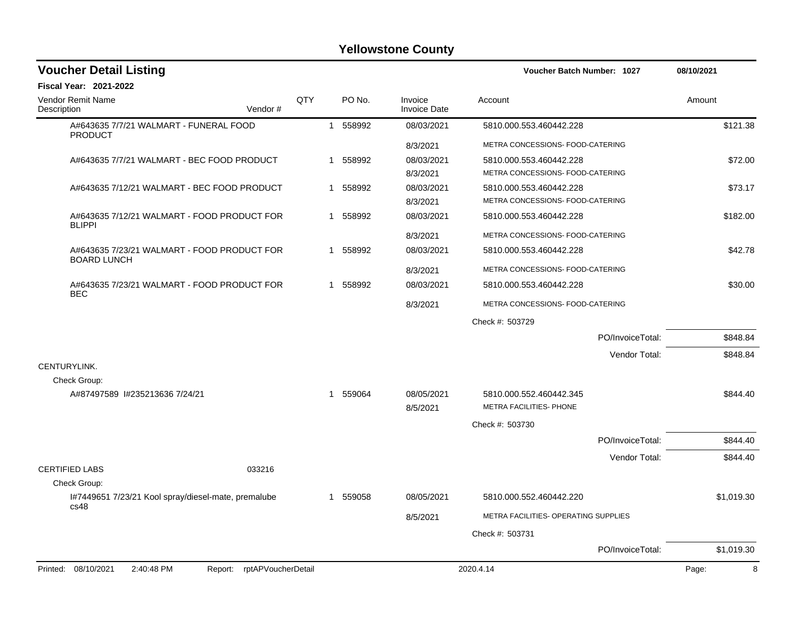| <b>Voucher Detail Listing</b>                                     |            |                   |                                | <b>Voucher Batch Number: 1027</b>    | 08/10/2021                     |
|-------------------------------------------------------------------|------------|-------------------|--------------------------------|--------------------------------------|--------------------------------|
| <b>Fiscal Year: 2021-2022</b>                                     |            |                   |                                |                                      |                                |
| Vendor Remit Name<br>Vendor#<br>Description                       | <b>OTY</b> | PO <sub>No.</sub> | Invoice<br><b>Invoice Date</b> | Account                              | Amount                         |
| A#643635 7/7/21 WALMART - FUNERAL FOOD<br><b>PRODUCT</b>          |            | 1 558992          | 08/03/2021                     | 5810.000.553.460442.228              | \$121.38                       |
|                                                                   |            |                   | 8/3/2021                       | METRA CONCESSIONS- FOOD-CATERING     |                                |
| A#643635 7/7/21 WALMART - BEC FOOD PRODUCT                        |            | 1 558992          | 08/03/2021                     | 5810.000.553.460442.228              | \$72.00                        |
|                                                                   |            |                   | 8/3/2021                       | METRA CONCESSIONS- FOOD-CATERING     |                                |
| A#643635 7/12/21 WALMART - BEC FOOD PRODUCT                       |            | 1 558992          | 08/03/2021                     | 5810.000.553.460442.228              | \$73.17                        |
|                                                                   |            |                   | 8/3/2021                       | METRA CONCESSIONS- FOOD-CATERING     |                                |
| A#643635 7/12/21 WALMART - FOOD PRODUCT FOR<br><b>BLIPPI</b>      |            | 1 558992          | 08/03/2021                     | 5810.000.553.460442.228              | \$182.00                       |
|                                                                   |            |                   | 8/3/2021                       | METRA CONCESSIONS- FOOD-CATERING     |                                |
| A#643635 7/23/21 WALMART - FOOD PRODUCT FOR<br><b>BOARD LUNCH</b> |            | 1 558992          | 08/03/2021                     | 5810.000.553.460442.228              | \$42.78                        |
|                                                                   |            |                   | 8/3/2021                       | METRA CONCESSIONS- FOOD-CATERING     |                                |
| A#643635 7/23/21 WALMART - FOOD PRODUCT FOR<br><b>BEC</b>         |            | 1 558992          | 08/03/2021                     | 5810.000.553.460442.228              | \$30.00                        |
|                                                                   |            |                   | 8/3/2021                       | METRA CONCESSIONS- FOOD-CATERING     |                                |
|                                                                   |            |                   |                                | Check #: 503729                      |                                |
|                                                                   |            |                   |                                |                                      | PO/InvoiceTotal:<br>\$848.84   |
|                                                                   |            |                   |                                |                                      | Vendor Total:<br>\$848.84      |
| CENTURYLINK.                                                      |            |                   |                                |                                      |                                |
| Check Group:<br>A#87497589 1#235213636 7/24/21                    |            | 559064<br>1       | 08/05/2021                     | 5810.000.552.460442.345              | \$844.40                       |
|                                                                   |            |                   | 8/5/2021                       | <b>METRA FACILITIES- PHONE</b>       |                                |
|                                                                   |            |                   |                                | Check #: 503730                      |                                |
|                                                                   |            |                   |                                |                                      | PO/InvoiceTotal:<br>\$844.40   |
|                                                                   |            |                   |                                |                                      | Vendor Total:<br>\$844.40      |
| <b>CERTIFIED LABS</b><br>033216                                   |            |                   |                                |                                      |                                |
| Check Group:                                                      |            |                   |                                |                                      |                                |
| I#7449651 7/23/21 Kool spray/diesel-mate, premalube<br>cs48       |            | 1 559058          | 08/05/2021                     | 5810.000.552.460442.220              | \$1,019.30                     |
|                                                                   |            |                   | 8/5/2021                       | METRA FACILITIES- OPERATING SUPPLIES |                                |
|                                                                   |            |                   |                                | Check #: 503731                      |                                |
|                                                                   |            |                   |                                |                                      | \$1,019.30<br>PO/InvoiceTotal: |
| Printed: 08/10/2021<br>2:40:48 PM<br>Report: rptAPVoucherDetail   |            |                   |                                | 2020.4.14                            | 8<br>Page:                     |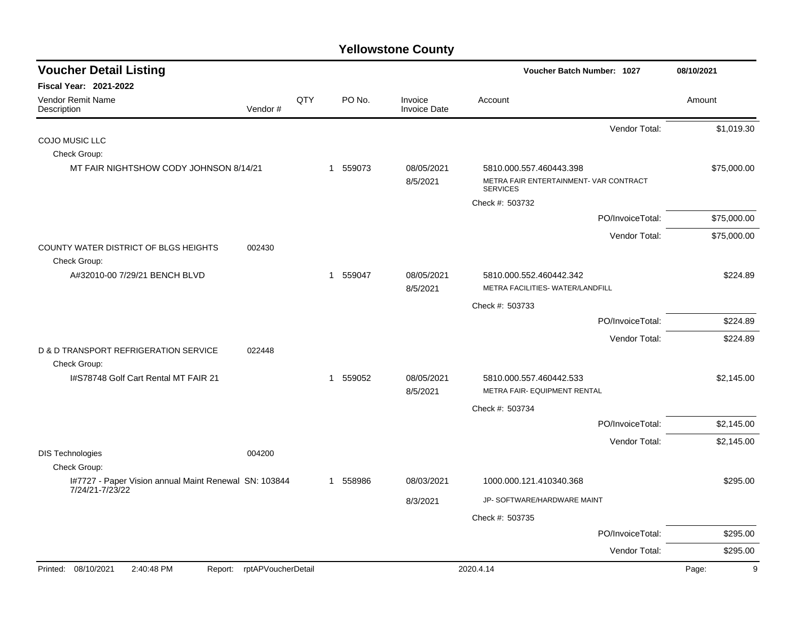| <b>Voucher Detail Listing</b>                                            |                    |     |                       |                                | Voucher Batch Number: 1027                                  |                  | 08/10/2021  |
|--------------------------------------------------------------------------|--------------------|-----|-----------------------|--------------------------------|-------------------------------------------------------------|------------------|-------------|
| Fiscal Year: 2021-2022                                                   |                    |     |                       |                                |                                                             |                  |             |
| Vendor Remit Name<br>Description                                         | Vendor#            | QTY | PO No.                | Invoice<br><b>Invoice Date</b> | Account                                                     |                  | Amount      |
|                                                                          |                    |     |                       |                                |                                                             | Vendor Total:    | \$1,019.30  |
| COJO MUSIC LLC                                                           |                    |     |                       |                                |                                                             |                  |             |
| Check Group:                                                             |                    |     |                       |                                |                                                             |                  |             |
| MT FAIR NIGHTSHOW CODY JOHNSON 8/14/21                                   |                    |     | 1 559073              | 08/05/2021                     | 5810.000.557.460443.398                                     |                  | \$75,000.00 |
|                                                                          |                    |     |                       | 8/5/2021                       | METRA FAIR ENTERTAINMENT- VAR CONTRACT<br><b>SERVICES</b>   |                  |             |
|                                                                          |                    |     |                       |                                | Check #: 503732                                             |                  |             |
|                                                                          |                    |     |                       |                                |                                                             | PO/InvoiceTotal: | \$75,000.00 |
|                                                                          |                    |     |                       |                                |                                                             | Vendor Total:    | \$75,000.00 |
| COUNTY WATER DISTRICT OF BLGS HEIGHTS                                    | 002430             |     |                       |                                |                                                             |                  |             |
| Check Group:                                                             |                    |     |                       |                                |                                                             |                  |             |
| A#32010-00 7/29/21 BENCH BLVD                                            |                    |     | 1 559047              | 08/05/2021                     | 5810.000.552.460442.342<br>METRA FACILITIES- WATER/LANDFILL |                  | \$224.89    |
|                                                                          |                    |     |                       | 8/5/2021                       |                                                             |                  |             |
|                                                                          |                    |     |                       |                                | Check #: 503733                                             |                  |             |
|                                                                          |                    |     |                       |                                |                                                             | PO/InvoiceTotal: | \$224.89    |
|                                                                          |                    |     |                       |                                |                                                             | Vendor Total:    | \$224.89    |
| D & D TRANSPORT REFRIGERATION SERVICE<br>Check Group:                    | 022448             |     |                       |                                |                                                             |                  |             |
| I#S78748 Golf Cart Rental MT FAIR 21                                     |                    |     | 559052<br>$\mathbf 1$ | 08/05/2021                     | 5810.000.557.460442.533                                     |                  | \$2,145.00  |
|                                                                          |                    |     |                       | 8/5/2021                       | METRA FAIR- EQUIPMENT RENTAL                                |                  |             |
|                                                                          |                    |     |                       |                                | Check #: 503734                                             |                  |             |
|                                                                          |                    |     |                       |                                |                                                             | PO/InvoiceTotal: | \$2,145.00  |
|                                                                          |                    |     |                       |                                |                                                             | Vendor Total:    | \$2,145.00  |
| <b>DIS Technologies</b>                                                  | 004200             |     |                       |                                |                                                             |                  |             |
| Check Group:                                                             |                    |     |                       |                                |                                                             |                  |             |
| I#7727 - Paper Vision annual Maint Renewal SN: 103844<br>7/24/21-7/23/22 |                    |     | 1 558986              | 08/03/2021                     | 1000.000.121.410340.368                                     |                  | \$295.00    |
|                                                                          |                    |     |                       | 8/3/2021                       | JP- SOFTWARE/HARDWARE MAINT                                 |                  |             |
|                                                                          |                    |     |                       |                                | Check #: 503735                                             |                  |             |
|                                                                          |                    |     |                       |                                |                                                             | PO/InvoiceTotal: | \$295.00    |
|                                                                          |                    |     |                       |                                |                                                             | Vendor Total:    | \$295.00    |
| Printed: 08/10/2021<br>2:40:48 PM<br>Report:                             | rptAPVoucherDetail |     |                       |                                | 2020.4.14                                                   |                  | Page:<br>9  |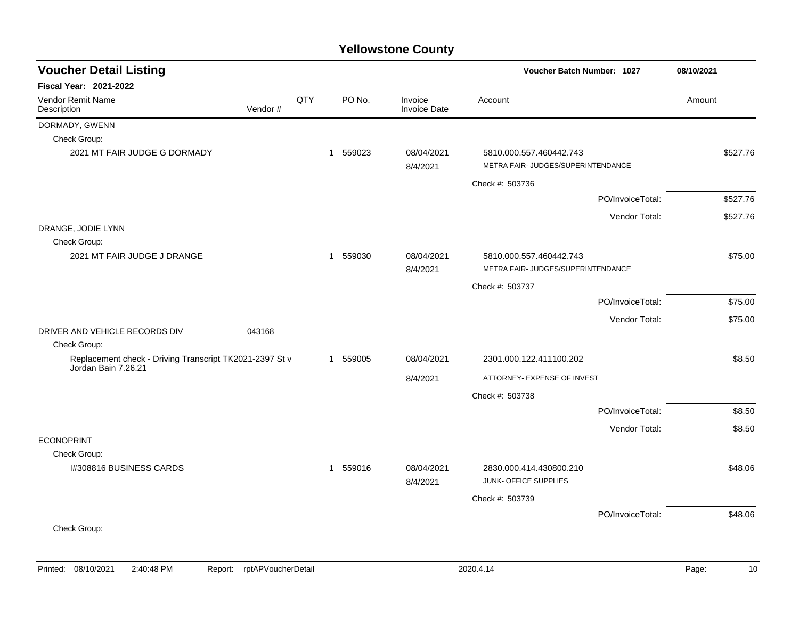| <b>Voucher Detail Listing</b>                                                  |         |     |          |                                | Voucher Batch Number: 1027                                    | 08/10/2021       |          |        |
|--------------------------------------------------------------------------------|---------|-----|----------|--------------------------------|---------------------------------------------------------------|------------------|----------|--------|
| <b>Fiscal Year: 2021-2022</b>                                                  |         |     |          |                                |                                                               |                  |          |        |
| Vendor Remit Name<br>Description                                               | Vendor# | QTY | PO No.   | Invoice<br><b>Invoice Date</b> | Account                                                       |                  | Amount   |        |
| DORMADY, GWENN                                                                 |         |     |          |                                |                                                               |                  |          |        |
| Check Group:                                                                   |         |     |          |                                |                                                               |                  |          |        |
| 2021 MT FAIR JUDGE G DORMADY                                                   |         |     | 1 559023 | 08/04/2021<br>8/4/2021         | 5810.000.557.460442.743<br>METRA FAIR- JUDGES/SUPERINTENDANCE |                  | \$527.76 |        |
|                                                                                |         |     |          |                                | Check #: 503736                                               |                  |          |        |
|                                                                                |         |     |          |                                |                                                               | PO/InvoiceTotal: | \$527.76 |        |
|                                                                                |         |     |          |                                |                                                               | Vendor Total:    | \$527.76 |        |
| DRANGE, JODIE LYNN                                                             |         |     |          |                                |                                                               |                  |          |        |
| Check Group:                                                                   |         |     |          |                                |                                                               |                  |          |        |
| 2021 MT FAIR JUDGE J DRANGE                                                    |         |     | 1 559030 | 08/04/2021                     | 5810.000.557.460442.743                                       |                  | \$75.00  |        |
|                                                                                |         |     |          | 8/4/2021                       | METRA FAIR- JUDGES/SUPERINTENDANCE                            |                  |          |        |
|                                                                                |         |     |          |                                | Check #: 503737                                               |                  |          |        |
|                                                                                |         |     |          |                                |                                                               | PO/InvoiceTotal: | \$75.00  |        |
|                                                                                |         |     |          |                                |                                                               | Vendor Total:    | \$75.00  |        |
| DRIVER AND VEHICLE RECORDS DIV                                                 | 043168  |     |          |                                |                                                               |                  |          |        |
| Check Group:                                                                   |         |     |          |                                |                                                               |                  |          |        |
| Replacement check - Driving Transcript TK2021-2397 St v<br>Jordan Bain 7.26.21 |         |     | 1 559005 | 08/04/2021                     | 2301.000.122.411100.202                                       |                  |          | \$8.50 |
|                                                                                |         |     |          | 8/4/2021                       | ATTORNEY- EXPENSE OF INVEST                                   |                  |          |        |
|                                                                                |         |     |          |                                | Check #: 503738                                               |                  |          |        |
|                                                                                |         |     |          |                                |                                                               | PO/InvoiceTotal: |          | \$8.50 |
|                                                                                |         |     |          |                                |                                                               | Vendor Total:    |          | \$8.50 |
| <b>ECONOPRINT</b>                                                              |         |     |          |                                |                                                               |                  |          |        |
| Check Group:                                                                   |         |     |          |                                |                                                               |                  |          |        |
| 1#308816 BUSINESS CARDS                                                        |         |     | 1 559016 | 08/04/2021<br>8/4/2021         | 2830.000.414.430800.210<br>JUNK- OFFICE SUPPLIES              |                  | \$48.06  |        |
|                                                                                |         |     |          |                                | Check #: 503739                                               |                  |          |        |
|                                                                                |         |     |          |                                |                                                               | PO/InvoiceTotal: | \$48.06  |        |
| Check Group:                                                                   |         |     |          |                                |                                                               |                  |          |        |
|                                                                                |         |     |          |                                |                                                               |                  |          |        |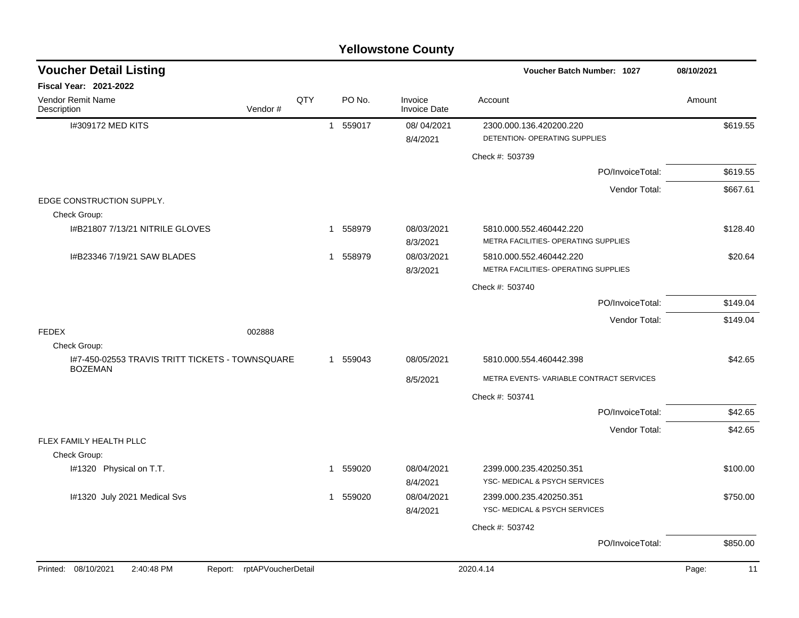| <b>Yellowstone County</b>                                         |                    |     |                       |                                |                                         |             |  |  |  |  |
|-------------------------------------------------------------------|--------------------|-----|-----------------------|--------------------------------|-----------------------------------------|-------------|--|--|--|--|
| <b>Voucher Detail Listing</b>                                     |                    |     |                       |                                | <b>Voucher Batch Number: 1027</b>       | 08/10/2021  |  |  |  |  |
| Fiscal Year: 2021-2022                                            |                    |     |                       |                                |                                         |             |  |  |  |  |
| Vendor Remit Name<br>Description                                  | Vendor#            | QTY | PO No.                | Invoice<br><b>Invoice Date</b> | Account                                 | Amount      |  |  |  |  |
| 1#309172 MED KITS                                                 |                    |     | 559017<br>$\mathbf 1$ | 08/04/2021                     | 2300.000.136.420200.220                 | \$619.55    |  |  |  |  |
|                                                                   |                    |     |                       | 8/4/2021                       | DETENTION- OPERATING SUPPLIES           |             |  |  |  |  |
|                                                                   |                    |     |                       |                                | Check #: 503739                         |             |  |  |  |  |
|                                                                   |                    |     |                       |                                | PO/InvoiceTotal:                        | \$619.55    |  |  |  |  |
|                                                                   |                    |     |                       |                                | Vendor Total:                           | \$667.61    |  |  |  |  |
| EDGE CONSTRUCTION SUPPLY.                                         |                    |     |                       |                                |                                         |             |  |  |  |  |
| Check Group:<br>I#B21807 7/13/21 NITRILE GLOVES                   |                    |     | 558979<br>-1          | 08/03/2021                     | 5810.000.552.460442.220                 | \$128.40    |  |  |  |  |
|                                                                   |                    |     |                       | 8/3/2021                       | METRA FACILITIES- OPERATING SUPPLIES    |             |  |  |  |  |
| I#B23346 7/19/21 SAW BLADES                                       |                    |     | 558979<br>-1          | 08/03/2021                     | 5810.000.552.460442.220                 | \$20.64     |  |  |  |  |
|                                                                   |                    |     |                       | 8/3/2021                       | METRA FACILITIES- OPERATING SUPPLIES    |             |  |  |  |  |
|                                                                   |                    |     |                       |                                | Check #: 503740                         |             |  |  |  |  |
|                                                                   |                    |     |                       |                                | PO/InvoiceTotal:                        | \$149.04    |  |  |  |  |
|                                                                   |                    |     |                       |                                | Vendor Total:                           | \$149.04    |  |  |  |  |
| <b>FEDEX</b>                                                      | 002888             |     |                       |                                |                                         |             |  |  |  |  |
| Check Group:                                                      |                    |     |                       |                                |                                         |             |  |  |  |  |
| I#7-450-02553 TRAVIS TRITT TICKETS - TOWNSQUARE<br><b>BOZEMAN</b> |                    |     | 1 559043              | 08/05/2021                     | 5810.000.554.460442.398                 | \$42.65     |  |  |  |  |
|                                                                   |                    |     |                       | 8/5/2021                       | METRA EVENTS-VARIABLE CONTRACT SERVICES |             |  |  |  |  |
|                                                                   |                    |     |                       |                                | Check #: 503741                         |             |  |  |  |  |
|                                                                   |                    |     |                       |                                | PO/InvoiceTotal:                        | \$42.65     |  |  |  |  |
|                                                                   |                    |     |                       |                                | Vendor Total:                           | \$42.65     |  |  |  |  |
| FLEX FAMILY HEALTH PLLC                                           |                    |     |                       |                                |                                         |             |  |  |  |  |
| Check Group:<br>I#1320 Physical on T.T.                           |                    |     | 559020<br>-1          | 08/04/2021                     | 2399.000.235.420250.351                 | \$100.00    |  |  |  |  |
|                                                                   |                    |     |                       | 8/4/2021                       | YSC- MEDICAL & PSYCH SERVICES           |             |  |  |  |  |
| I#1320 July 2021 Medical Svs                                      |                    |     | 1 559020              | 08/04/2021                     | 2399.000.235.420250.351                 | \$750.00    |  |  |  |  |
|                                                                   |                    |     |                       | 8/4/2021                       | YSC- MEDICAL & PSYCH SERVICES           |             |  |  |  |  |
|                                                                   |                    |     |                       |                                | Check #: 503742                         |             |  |  |  |  |
|                                                                   |                    |     |                       |                                | PO/InvoiceTotal:                        | \$850.00    |  |  |  |  |
| Printed: 08/10/2021<br>2:40:48 PM<br>Report:                      | rptAPVoucherDetail |     |                       |                                | 2020.4.14                               | Page:<br>11 |  |  |  |  |
|                                                                   |                    |     |                       |                                |                                         |             |  |  |  |  |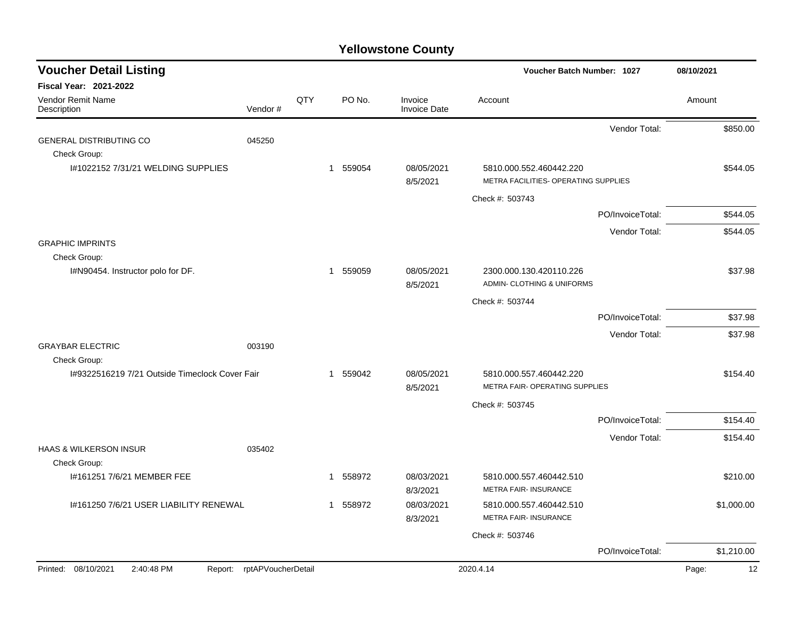| <b>Voucher Detail Listing</b>                      |                            |     |             |                                | <b>Voucher Batch Number: 1027</b>                         |                  | 08/10/2021 |
|----------------------------------------------------|----------------------------|-----|-------------|--------------------------------|-----------------------------------------------------------|------------------|------------|
| Fiscal Year: 2021-2022                             |                            |     |             |                                |                                                           |                  |            |
| Vendor Remit Name<br>Description                   | Vendor#                    | QTY | PO No.      | Invoice<br><b>Invoice Date</b> | Account                                                   |                  | Amount     |
|                                                    |                            |     |             |                                |                                                           | Vendor Total:    | \$850.00   |
| <b>GENERAL DISTRIBUTING CO</b>                     | 045250                     |     |             |                                |                                                           |                  |            |
| Check Group:<br>1#1022152 7/31/21 WELDING SUPPLIES |                            |     | 1 559054    | 08/05/2021                     | 5810.000.552.460442.220                                   |                  | \$544.05   |
|                                                    |                            |     |             | 8/5/2021                       | METRA FACILITIES- OPERATING SUPPLIES                      |                  |            |
|                                                    |                            |     |             |                                | Check #: 503743                                           |                  |            |
|                                                    |                            |     |             |                                |                                                           | PO/InvoiceTotal: | \$544.05   |
|                                                    |                            |     |             |                                |                                                           | Vendor Total:    | \$544.05   |
| <b>GRAPHIC IMPRINTS</b>                            |                            |     |             |                                |                                                           |                  |            |
| Check Group:<br>I#N90454. Instructor polo for DF.  |                            |     | 1 559059    | 08/05/2021                     | 2300.000.130.420110.226                                   |                  | \$37.98    |
|                                                    |                            |     |             | 8/5/2021                       | ADMIN- CLOTHING & UNIFORMS                                |                  |            |
|                                                    |                            |     |             |                                | Check #: 503744                                           |                  |            |
|                                                    |                            |     |             |                                |                                                           | PO/InvoiceTotal: | \$37.98    |
|                                                    |                            |     |             |                                |                                                           | Vendor Total:    | \$37.98    |
| <b>GRAYBAR ELECTRIC</b>                            | 003190                     |     |             |                                |                                                           |                  |            |
| Check Group:                                       |                            |     |             |                                |                                                           |                  |            |
| I#9322516219 7/21 Outside Timeclock Cover Fair     |                            |     | 1 559042    | 08/05/2021<br>8/5/2021         | 5810.000.557.460442.220<br>METRA FAIR- OPERATING SUPPLIES |                  | \$154.40   |
|                                                    |                            |     |             |                                | Check #: 503745                                           |                  |            |
|                                                    |                            |     |             |                                |                                                           | PO/InvoiceTotal: | \$154.40   |
|                                                    |                            |     |             |                                |                                                           | Vendor Total:    | \$154.40   |
| <b>HAAS &amp; WILKERSON INSUR</b>                  | 035402                     |     |             |                                |                                                           |                  |            |
| Check Group:                                       |                            |     |             |                                |                                                           |                  |            |
| I#161251 7/6/21 MEMBER FEE                         |                            |     | 558972      | 08/03/2021<br>8/3/2021         | 5810.000.557.460442.510<br><b>METRA FAIR- INSURANCE</b>   |                  | \$210.00   |
| I#161250 7/6/21 USER LIABILITY RENEWAL             |                            |     | 558972<br>1 | 08/03/2021<br>8/3/2021         | 5810.000.557.460442.510<br><b>METRA FAIR- INSURANCE</b>   |                  | \$1,000.00 |
|                                                    |                            |     |             |                                | Check #: 503746                                           |                  |            |
|                                                    |                            |     |             |                                |                                                           | PO/InvoiceTotal: | \$1,210.00 |
|                                                    |                            |     |             |                                |                                                           |                  | 12         |
| Printed: 08/10/2021<br>2:40:48 PM                  | Report: rptAPVoucherDetail |     |             |                                | 2020.4.14                                                 |                  | Page:      |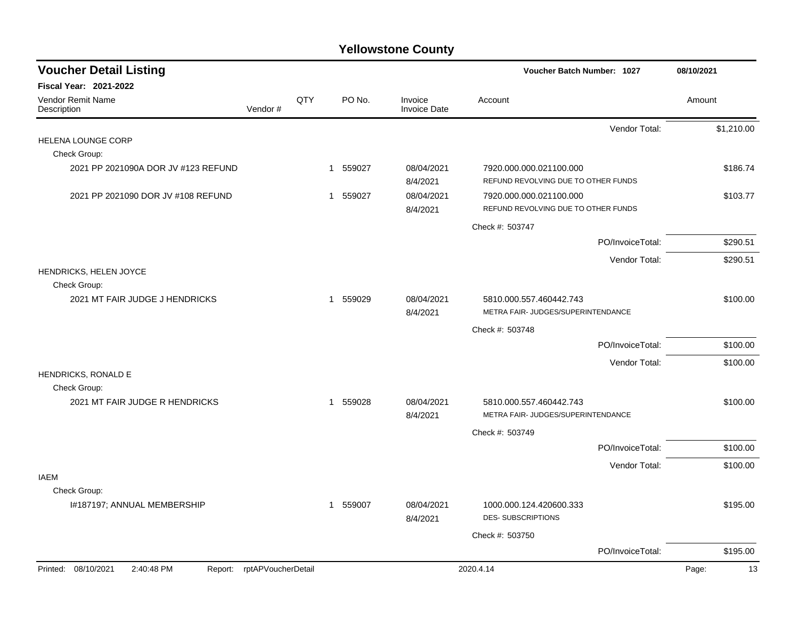| <b>Voucher Detail Listing</b>                |                    |     |                        |                                | <b>Voucher Batch Number: 1027</b>                              |                  | 08/10/2021  |
|----------------------------------------------|--------------------|-----|------------------------|--------------------------------|----------------------------------------------------------------|------------------|-------------|
| <b>Fiscal Year: 2021-2022</b>                |                    |     |                        |                                |                                                                |                  |             |
| <b>Vendor Remit Name</b><br>Description      | Vendor#            | QTY | PO No.                 | Invoice<br><b>Invoice Date</b> | Account                                                        |                  | Amount      |
|                                              |                    |     |                        |                                |                                                                | Vendor Total:    | \$1,210.00  |
| HELENA LOUNGE CORP                           |                    |     |                        |                                |                                                                |                  |             |
| Check Group:                                 |                    |     |                        |                                |                                                                |                  |             |
| 2021 PP 2021090A DOR JV #123 REFUND          |                    |     | 1 559027               | 08/04/2021<br>8/4/2021         | 7920.000.000.021100.000<br>REFUND REVOLVING DUE TO OTHER FUNDS |                  | \$186.74    |
| 2021 PP 2021090 DOR JV #108 REFUND           |                    |     | 1 559027               | 08/04/2021<br>8/4/2021         | 7920.000.000.021100.000<br>REFUND REVOLVING DUE TO OTHER FUNDS |                  | \$103.77    |
|                                              |                    |     |                        |                                | Check #: 503747                                                |                  |             |
|                                              |                    |     |                        |                                |                                                                | PO/InvoiceTotal: | \$290.51    |
|                                              |                    |     |                        |                                |                                                                | Vendor Total:    | \$290.51    |
| HENDRICKS, HELEN JOYCE                       |                    |     |                        |                                |                                                                |                  |             |
| Check Group:                                 |                    |     |                        |                                |                                                                |                  |             |
| 2021 MT FAIR JUDGE J HENDRICKS               |                    |     | 1 559029               | 08/04/2021<br>8/4/2021         | 5810.000.557.460442.743<br>METRA FAIR- JUDGES/SUPERINTENDANCE  |                  | \$100.00    |
|                                              |                    |     |                        |                                | Check #: 503748                                                |                  |             |
|                                              |                    |     |                        |                                |                                                                | PO/InvoiceTotal: | \$100.00    |
|                                              |                    |     |                        |                                |                                                                | Vendor Total:    | \$100.00    |
| HENDRICKS, RONALD E                          |                    |     |                        |                                |                                                                |                  |             |
| Check Group:                                 |                    |     |                        |                                |                                                                |                  |             |
| 2021 MT FAIR JUDGE R HENDRICKS               |                    |     | 1 559028               | 08/04/2021<br>8/4/2021         | 5810.000.557.460442.743<br>METRA FAIR- JUDGES/SUPERINTENDANCE  |                  | \$100.00    |
|                                              |                    |     |                        |                                | Check #: 503749                                                |                  |             |
|                                              |                    |     |                        |                                |                                                                | PO/InvoiceTotal: | \$100.00    |
|                                              |                    |     |                        |                                |                                                                | Vendor Total:    | \$100.00    |
| <b>IAEM</b>                                  |                    |     |                        |                                |                                                                |                  |             |
| Check Group:                                 |                    |     |                        |                                |                                                                |                  |             |
| I#187197; ANNUAL MEMBERSHIP                  |                    |     | 559007<br>$\mathbf{1}$ | 08/04/2021<br>8/4/2021         | 1000.000.124.420600.333<br><b>DES-SUBSCRIPTIONS</b>            |                  | \$195.00    |
|                                              |                    |     |                        |                                | Check #: 503750                                                |                  |             |
|                                              |                    |     |                        |                                |                                                                | PO/InvoiceTotal: | \$195.00    |
| Printed: 08/10/2021<br>2:40:48 PM<br>Report: | rptAPVoucherDetail |     |                        |                                | 2020.4.14                                                      |                  | 13<br>Page: |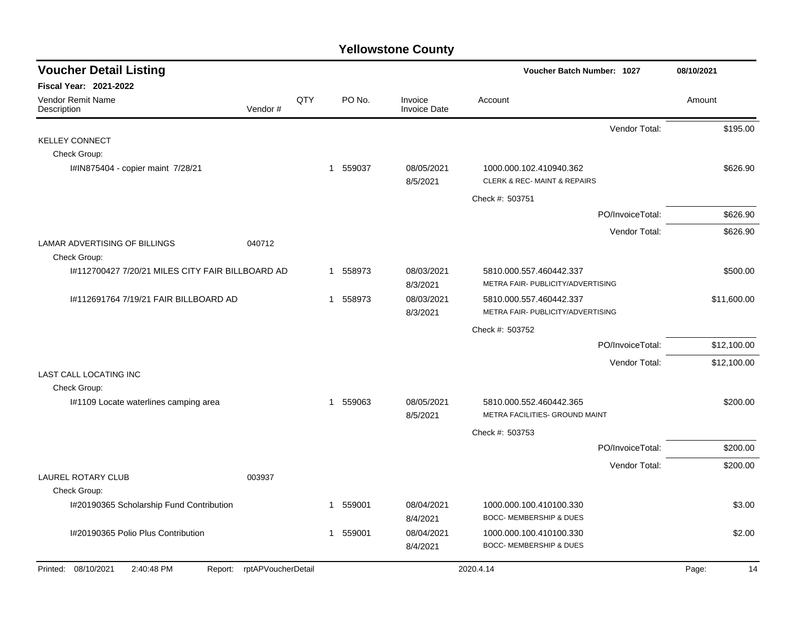| <b>Voucher Detail Listing</b>                    |                            |     |              |          |                                | <b>Voucher Batch Number: 1027</b>                                     |                  | 08/10/2021  |
|--------------------------------------------------|----------------------------|-----|--------------|----------|--------------------------------|-----------------------------------------------------------------------|------------------|-------------|
| <b>Fiscal Year: 2021-2022</b>                    |                            |     |              |          |                                |                                                                       |                  |             |
| Vendor Remit Name<br>Description                 | Vendor#                    | QTY |              | PO No.   | Invoice<br><b>Invoice Date</b> | Account                                                               |                  | Amount      |
|                                                  |                            |     |              |          |                                |                                                                       | Vendor Total:    | \$195.00    |
| <b>KELLEY CONNECT</b>                            |                            |     |              |          |                                |                                                                       |                  |             |
| Check Group:                                     |                            |     |              |          |                                |                                                                       |                  |             |
| I#IN875404 - copier maint 7/28/21                |                            |     |              | 1 559037 | 08/05/2021<br>8/5/2021         | 1000.000.102.410940.362<br><b>CLERK &amp; REC-MAINT &amp; REPAIRS</b> |                  | \$626.90    |
|                                                  |                            |     |              |          |                                | Check #: 503751                                                       |                  |             |
|                                                  |                            |     |              |          |                                |                                                                       | PO/InvoiceTotal: | \$626.90    |
|                                                  |                            |     |              |          |                                |                                                                       | Vendor Total:    | \$626.90    |
| LAMAR ADVERTISING OF BILLINGS<br>Check Group:    | 040712                     |     |              |          |                                |                                                                       |                  |             |
| I#112700427 7/20/21 MILES CITY FAIR BILLBOARD AD |                            |     |              | 1 558973 | 08/03/2021<br>8/3/2021         | 5810.000.557.460442.337<br>METRA FAIR- PUBLICITY/ADVERTISING          |                  | \$500.00    |
| I#112691764 7/19/21 FAIR BILLBOARD AD            |                            |     |              | 1 558973 | 08/03/2021<br>8/3/2021         | 5810.000.557.460442.337<br>METRA FAIR- PUBLICITY/ADVERTISING          |                  | \$11,600.00 |
|                                                  |                            |     |              |          |                                | Check #: 503752                                                       |                  |             |
|                                                  |                            |     |              |          |                                |                                                                       | PO/InvoiceTotal: | \$12,100.00 |
|                                                  |                            |     |              |          |                                |                                                                       |                  |             |
| LAST CALL LOCATING INC                           |                            |     |              |          |                                |                                                                       | Vendor Total:    | \$12,100.00 |
| Check Group:                                     |                            |     |              |          |                                |                                                                       |                  |             |
| I#1109 Locate waterlines camping area            |                            |     | $\mathbf{1}$ | 559063   | 08/05/2021<br>8/5/2021         | 5810.000.552.460442.365<br>METRA FACILITIES- GROUND MAINT             |                  | \$200.00    |
|                                                  |                            |     |              |          |                                | Check #: 503753                                                       |                  |             |
|                                                  |                            |     |              |          |                                |                                                                       | PO/InvoiceTotal: | \$200.00    |
|                                                  |                            |     |              |          |                                |                                                                       | Vendor Total:    | \$200.00    |
| <b>LAUREL ROTARY CLUB</b>                        | 003937                     |     |              |          |                                |                                                                       |                  |             |
| Check Group:                                     |                            |     |              |          |                                |                                                                       |                  |             |
| I#20190365 Scholarship Fund Contribution         |                            |     | 1            | 559001   | 08/04/2021<br>8/4/2021         | 1000.000.100.410100.330<br><b>BOCC- MEMBERSHIP &amp; DUES</b>         |                  | \$3.00      |
| I#20190365 Polio Plus Contribution               |                            |     | 1            | 559001   | 08/04/2021                     | 1000.000.100.410100.330                                               |                  | \$2.00      |
|                                                  |                            |     |              |          | 8/4/2021                       | BOCC- MEMBERSHIP & DUES                                               |                  |             |
| Printed: 08/10/2021<br>2:40:48 PM                | Report: rptAPVoucherDetail |     |              |          |                                | 2020.4.14                                                             |                  | Page:<br>14 |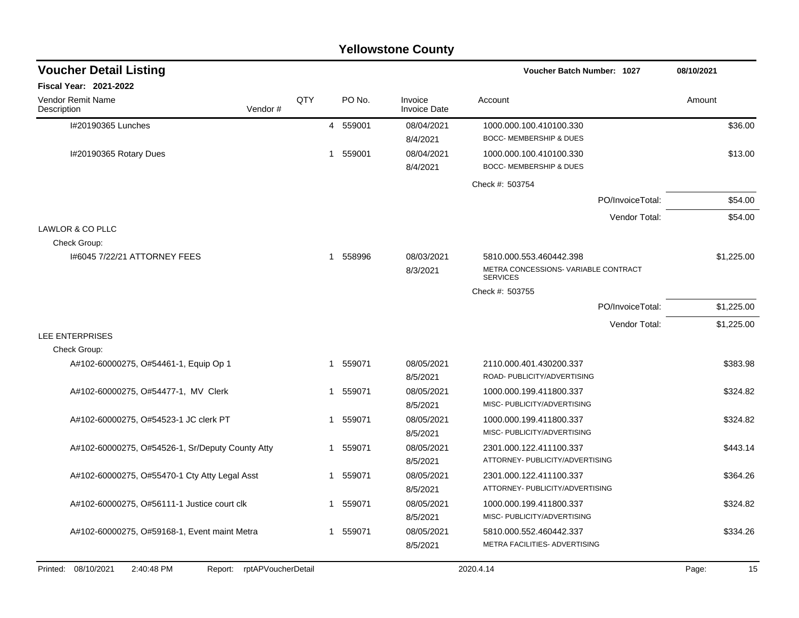|                                                  |                            |     |              |          | <b>Yellowstone County</b>      |                                                                                   |             |
|--------------------------------------------------|----------------------------|-----|--------------|----------|--------------------------------|-----------------------------------------------------------------------------------|-------------|
| <b>Voucher Detail Listing</b>                    |                            |     |              |          |                                | <b>Voucher Batch Number: 1027</b>                                                 | 08/10/2021  |
| <b>Fiscal Year: 2021-2022</b>                    |                            |     |              |          |                                |                                                                                   |             |
| Vendor Remit Name<br>Description                 | Vendor#                    | QTY |              | PO No.   | Invoice<br><b>Invoice Date</b> | Account                                                                           | Amount      |
| I#20190365 Lunches                               |                            |     |              | 4 559001 | 08/04/2021                     | 1000.000.100.410100.330                                                           | \$36.00     |
|                                                  |                            |     |              |          | 8/4/2021                       | <b>BOCC- MEMBERSHIP &amp; DUES</b>                                                |             |
| I#20190365 Rotary Dues                           |                            |     | $\mathbf{1}$ | 559001   | 08/04/2021<br>8/4/2021         | 1000.000.100.410100.330<br><b>BOCC- MEMBERSHIP &amp; DUES</b>                     | \$13.00     |
|                                                  |                            |     |              |          |                                | Check #: 503754                                                                   |             |
|                                                  |                            |     |              |          |                                | PO/InvoiceTotal:                                                                  | \$54.00     |
|                                                  |                            |     |              |          |                                | Vendor Total:                                                                     | \$54.00     |
| LAWLOR & CO PLLC                                 |                            |     |              |          |                                |                                                                                   |             |
| Check Group:                                     |                            |     |              |          |                                |                                                                                   |             |
| 1#6045 7/22/21 ATTORNEY FEES                     |                            |     |              | 1 558996 | 08/03/2021<br>8/3/2021         | 5810.000.553.460442.398<br>METRA CONCESSIONS-VARIABLE CONTRACT<br><b>SERVICES</b> | \$1,225.00  |
|                                                  |                            |     |              |          |                                | Check #: 503755                                                                   |             |
|                                                  |                            |     |              |          |                                | PO/InvoiceTotal:                                                                  | \$1,225.00  |
|                                                  |                            |     |              |          |                                | Vendor Total:                                                                     | \$1,225.00  |
| LEE ENTERPRISES                                  |                            |     |              |          |                                |                                                                                   |             |
| Check Group:                                     |                            |     |              |          |                                |                                                                                   |             |
| A#102-60000275, O#54461-1, Equip Op 1            |                            |     | -1           | 559071   | 08/05/2021<br>8/5/2021         | 2110.000.401.430200.337<br>ROAD- PUBLICITY/ADVERTISING                            | \$383.98    |
| A#102-60000275, O#54477-1, MV Clerk              |                            |     | -1           | 559071   | 08/05/2021                     | 1000.000.199.411800.337                                                           | \$324.82    |
|                                                  |                            |     |              |          | 8/5/2021                       | MISC- PUBLICITY/ADVERTISING                                                       |             |
| A#102-60000275, O#54523-1 JC clerk PT            |                            |     |              | 1 559071 | 08/05/2021<br>8/5/2021         | 1000.000.199.411800.337<br>MISC- PUBLICITY/ADVERTISING                            | \$324.82    |
| A#102-60000275, O#54526-1, Sr/Deputy County Atty |                            |     | -1           | 559071   | 08/05/2021                     | 2301.000.122.411100.337                                                           | \$443.14    |
|                                                  |                            |     |              |          | 8/5/2021                       | ATTORNEY- PUBLICITY/ADVERTISING                                                   |             |
| A#102-60000275, O#55470-1 Cty Atty Legal Asst    |                            |     | -1           | 559071   | 08/05/2021                     | 2301.000.122.411100.337                                                           | \$364.26    |
|                                                  |                            |     |              |          | 8/5/2021                       | ATTORNEY- PUBLICITY/ADVERTISING                                                   |             |
| A#102-60000275, O#56111-1 Justice court clk      |                            |     |              | 1 559071 | 08/05/2021                     | 1000.000.199.411800.337<br>MISC- PUBLICITY/ADVERTISING                            | \$324.82    |
| A#102-60000275, O#59168-1, Event maint Metra     |                            |     |              | 1 559071 | 8/5/2021<br>08/05/2021         | 5810.000.552.460442.337                                                           | \$334.26    |
|                                                  |                            |     |              |          | 8/5/2021                       | METRA FACILITIES- ADVERTISING                                                     |             |
| Printed: 08/10/2021<br>2:40:48 PM                | Report: rptAPVoucherDetail |     |              |          |                                | 2020.4.14                                                                         | Page:<br>15 |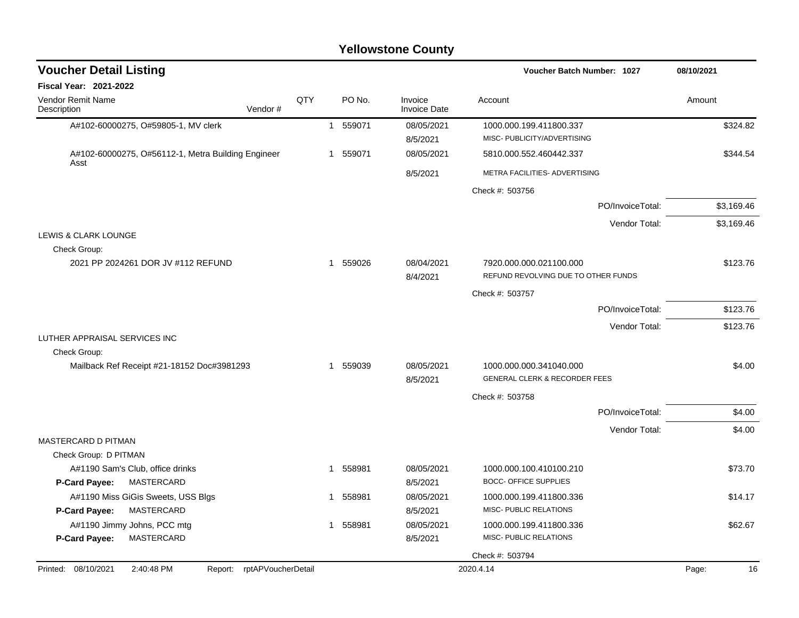| <b>Voucher Detail Listing</b>                                      |     |              |          |                                | <b>Voucher Batch Number: 1027</b>                              | 08/10/2021  |
|--------------------------------------------------------------------|-----|--------------|----------|--------------------------------|----------------------------------------------------------------|-------------|
| <b>Fiscal Year: 2021-2022</b>                                      |     |              |          |                                |                                                                |             |
| Vendor Remit Name<br>Vendor#<br>Description                        | QTY |              | PO No.   | Invoice<br><b>Invoice Date</b> | Account                                                        | Amount      |
| A#102-60000275, O#59805-1, MV clerk                                |     |              | 1 559071 | 08/05/2021                     | 1000.000.199.411800.337                                        | \$324.82    |
|                                                                    |     |              |          | 8/5/2021                       | MISC- PUBLICITY/ADVERTISING                                    |             |
| A#102-60000275, O#56112-1, Metra Building Engineer<br>Asst         |     |              | 1 559071 | 08/05/2021                     | 5810.000.552.460442.337                                        | \$344.54    |
|                                                                    |     |              |          | 8/5/2021                       | METRA FACILITIES- ADVERTISING                                  |             |
|                                                                    |     |              |          |                                | Check #: 503756                                                |             |
|                                                                    |     |              |          |                                | PO/InvoiceTotal:                                               | \$3,169.46  |
|                                                                    |     |              |          |                                | Vendor Total:                                                  | \$3,169.46  |
| LEWIS & CLARK LOUNGE                                               |     |              |          |                                |                                                                |             |
| Check Group:                                                       |     |              |          |                                |                                                                |             |
| 2021 PP 2024261 DOR JV #112 REFUND                                 |     |              | 1 559026 | 08/04/2021<br>8/4/2021         | 7920.000.000.021100.000<br>REFUND REVOLVING DUE TO OTHER FUNDS | \$123.76    |
|                                                                    |     |              |          |                                | Check #: 503757                                                |             |
|                                                                    |     |              |          |                                | PO/InvoiceTotal:                                               | \$123.76    |
|                                                                    |     |              |          |                                | Vendor Total:                                                  | \$123.76    |
| LUTHER APPRAISAL SERVICES INC                                      |     |              |          |                                |                                                                |             |
| Check Group:                                                       |     |              |          |                                |                                                                |             |
| Mailback Ref Receipt #21-18152 Doc#3981293                         |     | $\mathbf{1}$ | 559039   | 08/05/2021                     | 1000.000.000.341040.000                                        | \$4.00      |
|                                                                    |     |              |          | 8/5/2021                       | <b>GENERAL CLERK &amp; RECORDER FEES</b>                       |             |
|                                                                    |     |              |          |                                | Check #: 503758                                                |             |
|                                                                    |     |              |          |                                | PO/InvoiceTotal:                                               | \$4.00      |
|                                                                    |     |              |          |                                | Vendor Total:                                                  | \$4.00      |
| <b>MASTERCARD D PITMAN</b>                                         |     |              |          |                                |                                                                |             |
| Check Group: D PITMAN                                              |     |              |          |                                |                                                                |             |
| A#1190 Sam's Club, office drinks                                   |     | 1            | 558981   | 08/05/2021                     | 1000.000.100.410100.210                                        | \$73.70     |
| P-Card Payee:<br>MASTERCARD                                        |     |              |          | 8/5/2021                       | <b>BOCC- OFFICE SUPPLIES</b>                                   |             |
| A#1190 Miss GiGis Sweets, USS Blgs                                 |     | 1            | 558981   | 08/05/2021                     | 1000.000.199.411800.336                                        | \$14.17     |
| P-Card Payee:<br>MASTERCARD                                        |     |              |          | 8/5/2021                       | MISC- PUBLIC RELATIONS                                         |             |
| A#1190 Jimmy Johns, PCC mtg                                        |     | 1            | 558981   | 08/05/2021                     | 1000.000.199.411800.336                                        | \$62.67     |
| P-Card Payee:<br><b>MASTERCARD</b>                                 |     |              |          | 8/5/2021                       | MISC- PUBLIC RELATIONS                                         |             |
|                                                                    |     |              |          |                                | Check #: 503794                                                |             |
| Printed: 08/10/2021<br>2:40:48 PM<br>rptAPVoucherDetail<br>Report: |     |              |          |                                | 2020.4.14                                                      | Page:<br>16 |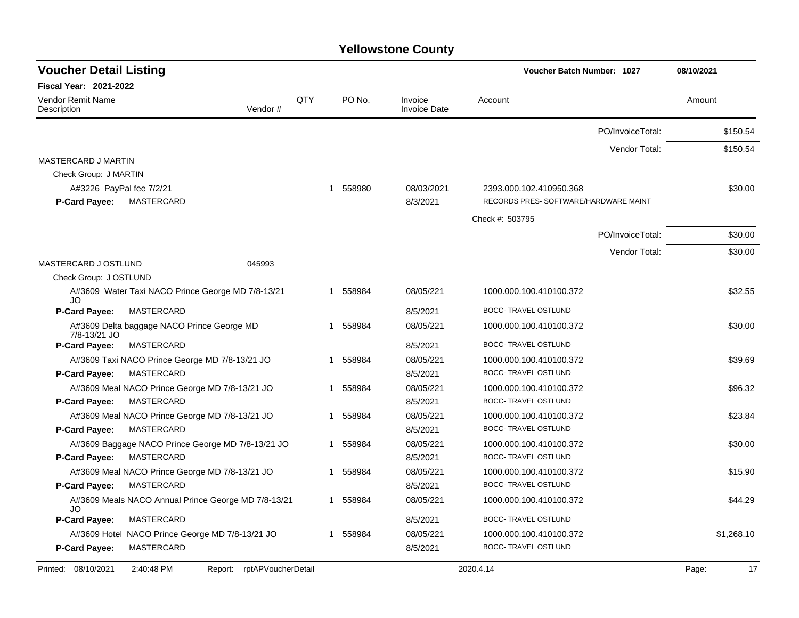| <b>Voucher Detail Listing</b>                                      |     |             |                                | Voucher Batch Number: 1027           | 08/10/2021  |
|--------------------------------------------------------------------|-----|-------------|--------------------------------|--------------------------------------|-------------|
| Fiscal Year: 2021-2022                                             |     |             |                                |                                      |             |
| <b>Vendor Remit Name</b><br>Vendor#<br>Description                 | QTY | PO No.      | Invoice<br><b>Invoice Date</b> | Account                              | Amount      |
|                                                                    |     |             |                                | PO/InvoiceTotal:                     | \$150.54    |
|                                                                    |     |             |                                | Vendor Total:                        | \$150.54    |
| <b>MASTERCARD J MARTIN</b>                                         |     |             |                                |                                      |             |
| Check Group: J MARTIN                                              |     |             |                                |                                      |             |
| A#3226 PayPal fee 7/2/21                                           |     | 558980<br>1 | 08/03/2021                     | 2393.000.102.410950.368              | \$30.00     |
| <b>P-Card Payee:</b><br>MASTERCARD                                 |     |             | 8/3/2021                       | RECORDS PRES-SOFTWARE/HARDWARE MAINT |             |
|                                                                    |     |             |                                | Check #: 503795                      |             |
|                                                                    |     |             |                                | PO/InvoiceTotal:                     | \$30.00     |
|                                                                    |     |             |                                | Vendor Total:                        | \$30.00     |
| MASTERCARD J OSTLUND<br>045993                                     |     |             |                                |                                      |             |
| Check Group: J OSTLUND                                             |     |             |                                |                                      |             |
| A#3609 Water Taxi NACO Prince George MD 7/8-13/21<br>JO            |     | 1 558984    | 08/05/221                      | 1000.000.100.410100.372              | \$32.55     |
| <b>MASTERCARD</b><br><b>P-Card Payee:</b>                          |     |             | 8/5/2021                       | BOCC-TRAVEL OSTLUND                  |             |
| A#3609 Delta baggage NACO Prince George MD<br>7/8-13/21 JO         |     | 558984<br>1 | 08/05/221                      | 1000.000.100.410100.372              | \$30.00     |
| MASTERCARD<br><b>P-Card Payee:</b>                                 |     |             | 8/5/2021                       | BOCC-TRAVEL OSTLUND                  |             |
| A#3609 Taxi NACO Prince George MD 7/8-13/21 JO                     | 1   | 558984      | 08/05/221                      | 1000.000.100.410100.372              | \$39.69     |
| MASTERCARD<br>P-Card Payee:                                        |     |             | 8/5/2021                       | <b>BOCC- TRAVEL OSTLUND</b>          |             |
| A#3609 Meal NACO Prince George MD 7/8-13/21 JO                     | 1   | 558984      | 08/05/221                      | 1000.000.100.410100.372              | \$96.32     |
| <b>MASTERCARD</b><br>P-Card Payee:                                 |     |             | 8/5/2021                       | <b>BOCC- TRAVEL OSTLUND</b>          |             |
| A#3609 Meal NACO Prince George MD 7/8-13/21 JO                     | 1   | 558984      | 08/05/221                      | 1000.000.100.410100.372              | \$23.84     |
| <b>MASTERCARD</b><br><b>P-Card Payee:</b>                          |     |             | 8/5/2021                       | <b>BOCC- TRAVEL OSTLUND</b>          |             |
| A#3609 Baggage NACO Prince George MD 7/8-13/21 JO                  |     | 558984      | 08/05/221                      | 1000.000.100.410100.372              | \$30.00     |
| MASTERCARD<br><b>P-Card Payee:</b>                                 |     |             | 8/5/2021                       | <b>BOCC- TRAVEL OSTLUND</b>          |             |
| A#3609 Meal NACO Prince George MD 7/8-13/21 JO                     |     | 558984      | 08/05/221                      | 1000.000.100.410100.372              | \$15.90     |
| MASTERCARD<br><b>P-Card Payee:</b>                                 |     |             | 8/5/2021                       | <b>BOCC- TRAVEL OSTLUND</b>          |             |
| A#3609 Meals NACO Annual Prince George MD 7/8-13/21<br>JO          |     | 558984<br>1 | 08/05/221                      | 1000.000.100.410100.372              | \$44.29     |
| P-Card Payee:<br>MASTERCARD                                        |     |             | 8/5/2021                       | BOCC- TRAVEL OSTLUND                 |             |
| A#3609 Hotel NACO Prince George MD 7/8-13/21 JO                    |     | 1 558984    | 08/05/221                      | 1000.000.100.410100.372              | \$1,268.10  |
| P-Card Payee:<br>MASTERCARD                                        |     |             | 8/5/2021                       | <b>BOCC- TRAVEL OSTLUND</b>          |             |
| Printed: 08/10/2021<br>2:40:48 PM<br>rptAPVoucherDetail<br>Report: |     |             |                                | 2020.4.14                            | 17<br>Page: |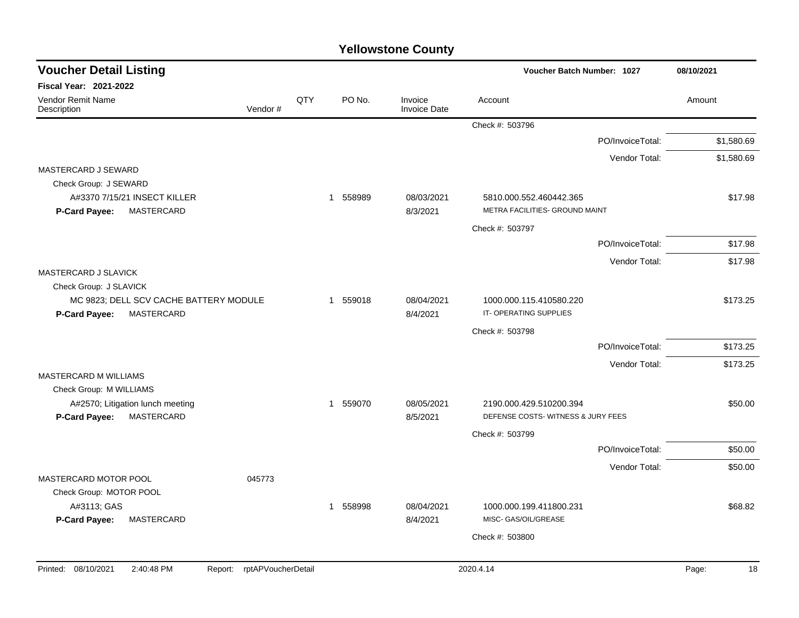| <b>Voucher Detail Listing</b>                                                |                               |     |                       |                                | <b>Voucher Batch Number: 1027</b>                            |                  | 08/10/2021  |
|------------------------------------------------------------------------------|-------------------------------|-----|-----------------------|--------------------------------|--------------------------------------------------------------|------------------|-------------|
| Fiscal Year: 2021-2022                                                       |                               |     |                       |                                |                                                              |                  |             |
| Vendor Remit Name<br>Description                                             | Vendor#                       | QTY | PO No.                | Invoice<br><b>Invoice Date</b> | Account                                                      |                  | Amount      |
|                                                                              |                               |     |                       |                                | Check #: 503796                                              |                  |             |
|                                                                              |                               |     |                       |                                |                                                              | PO/InvoiceTotal: | \$1,580.69  |
|                                                                              |                               |     |                       |                                |                                                              | Vendor Total:    | \$1,580.69  |
| MASTERCARD J SEWARD                                                          |                               |     |                       |                                |                                                              |                  |             |
| Check Group: J SEWARD                                                        |                               |     |                       |                                |                                                              |                  |             |
| A#3370 7/15/21 INSECT KILLER<br><b>MASTERCARD</b><br><b>P-Card Payee:</b>    |                               |     | 1 558989              | 08/03/2021<br>8/3/2021         | 5810.000.552.460442.365<br>METRA FACILITIES- GROUND MAINT    |                  | \$17.98     |
|                                                                              |                               |     |                       |                                | Check #: 503797                                              |                  |             |
|                                                                              |                               |     |                       |                                |                                                              | PO/InvoiceTotal: | \$17.98     |
|                                                                              |                               |     |                       |                                |                                                              | Vendor Total:    | \$17.98     |
| MASTERCARD J SLAVICK                                                         |                               |     |                       |                                |                                                              |                  |             |
| Check Group: J SLAVICK                                                       |                               |     |                       |                                |                                                              |                  |             |
| MC 9823; DELL SCV CACHE BATTERY MODULE<br><b>MASTERCARD</b><br>P-Card Payee: |                               |     | 1 559018              | 08/04/2021<br>8/4/2021         | 1000.000.115.410580.220<br>IT-OPERATING SUPPLIES             |                  | \$173.25    |
|                                                                              |                               |     |                       |                                | Check #: 503798                                              |                  |             |
|                                                                              |                               |     |                       |                                |                                                              | PO/InvoiceTotal: | \$173.25    |
|                                                                              |                               |     |                       |                                |                                                              | Vendor Total:    | \$173.25    |
| MASTERCARD M WILLIAMS                                                        |                               |     |                       |                                |                                                              |                  |             |
| Check Group: M WILLIAMS                                                      |                               |     |                       |                                |                                                              |                  |             |
| A#2570; Litigation lunch meeting<br>MASTERCARD<br>P-Card Payee:              |                               |     | 1 559070              | 08/05/2021<br>8/5/2021         | 2190.000.429.510200.394<br>DEFENSE COSTS-WITNESS & JURY FEES |                  | \$50.00     |
|                                                                              |                               |     |                       |                                | Check #: 503799                                              |                  |             |
|                                                                              |                               |     |                       |                                |                                                              | PO/InvoiceTotal: | \$50.00     |
|                                                                              |                               |     |                       |                                |                                                              | Vendor Total:    | \$50.00     |
| MASTERCARD MOTOR POOL                                                        | 045773                        |     |                       |                                |                                                              |                  |             |
| Check Group: MOTOR POOL                                                      |                               |     |                       |                                |                                                              |                  |             |
| A#3113; GAS                                                                  |                               |     | 558998<br>$\mathbf 1$ | 08/04/2021                     | 1000.000.199.411800.231                                      |                  | \$68.82     |
| MASTERCARD<br>P-Card Payee:                                                  |                               |     |                       | 8/4/2021                       | MISC- GAS/OIL/GREASE                                         |                  |             |
|                                                                              |                               |     |                       |                                | Check #: 503800                                              |                  |             |
|                                                                              |                               |     |                       |                                |                                                              |                  |             |
| Printed: 08/10/2021<br>2:40:48 PM                                            | rptAPVoucherDetail<br>Report: |     |                       |                                | 2020.4.14                                                    |                  | Page:<br>18 |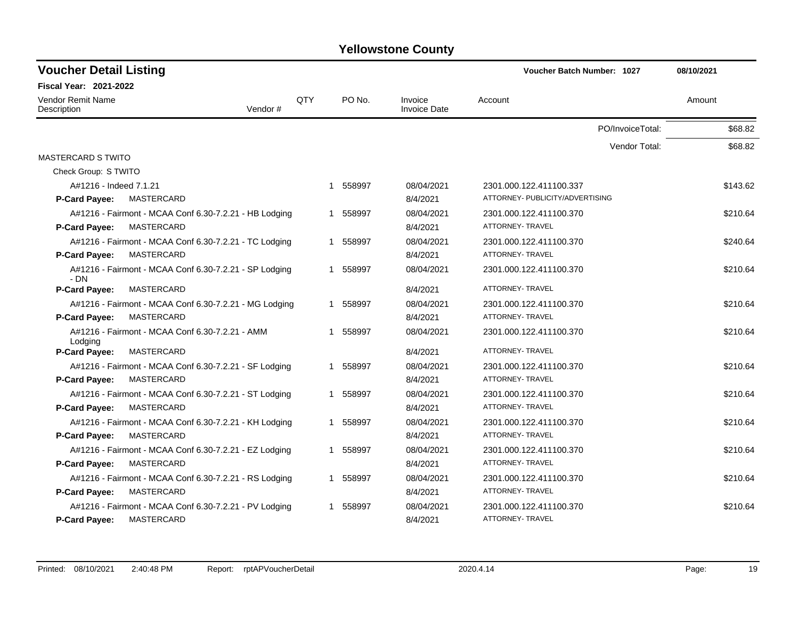| <b>Voucher Detail Listing</b>                                                                       |     |   |          |                                | <b>Voucher Batch Number: 1027</b>                          |                  | 08/10/2021 |
|-----------------------------------------------------------------------------------------------------|-----|---|----------|--------------------------------|------------------------------------------------------------|------------------|------------|
| <b>Fiscal Year: 2021-2022</b>                                                                       |     |   |          |                                |                                                            |                  |            |
| <b>Vendor Remit Name</b><br>Vendor#<br>Description                                                  | QTY |   | PO No.   | Invoice<br><b>Invoice Date</b> | Account                                                    |                  | Amount     |
|                                                                                                     |     |   |          |                                |                                                            | PO/InvoiceTotal: | \$68.82    |
|                                                                                                     |     |   |          |                                |                                                            | Vendor Total:    | \$68.82    |
| <b>MASTERCARD S TWITO</b>                                                                           |     |   |          |                                |                                                            |                  |            |
| Check Group: S TWITO                                                                                |     |   |          |                                |                                                            |                  |            |
| A#1216 - Indeed 7.1.21<br>P-Card Payee:<br><b>MASTERCARD</b>                                        |     | 1 | 558997   | 08/04/2021<br>8/4/2021         | 2301.000.122.411100.337<br>ATTORNEY- PUBLICITY/ADVERTISING |                  | \$143.62   |
|                                                                                                     |     |   |          |                                |                                                            |                  |            |
| A#1216 - Fairmont - MCAA Conf 6.30-7.2.21 - HB Lodging<br>MASTERCARD<br><b>P-Card Payee:</b>        |     |   | 1 558997 | 08/04/2021<br>8/4/2021         | 2301.000.122.411100.370<br>ATTORNEY- TRAVEL                |                  | \$210.64   |
| A#1216 - Fairmont - MCAA Conf 6.30-7.2.21 - TC Lodging                                              |     | 1 | 558997   | 08/04/2021                     | 2301.000.122.411100.370                                    |                  | \$240.64   |
| MASTERCARD<br><b>P-Card Payee:</b>                                                                  |     |   |          | 8/4/2021                       | <b>ATTORNEY- TRAVEL</b>                                    |                  |            |
| A#1216 - Fairmont - MCAA Conf 6.30-7.2.21 - SP Lodging<br>- DN                                      |     |   | 1 558997 | 08/04/2021                     | 2301.000.122.411100.370                                    |                  | \$210.64   |
| MASTERCARD<br><b>P-Card Payee:</b>                                                                  |     |   |          | 8/4/2021                       | ATTORNEY- TRAVEL                                           |                  |            |
| A#1216 - Fairmont - MCAA Conf 6.30-7.2.21 - MG Lodging                                              |     |   | 1 558997 | 08/04/2021                     | 2301.000.122.411100.370                                    |                  | \$210.64   |
| <b>MASTERCARD</b><br><b>P-Card Payee:</b>                                                           |     |   |          | 8/4/2021                       | ATTORNEY- TRAVEL                                           |                  |            |
| A#1216 - Fairmont - MCAA Conf 6.30-7.2.21 - AMM<br>Lodging                                          |     | 1 | 558997   | 08/04/2021                     | 2301.000.122.411100.370                                    |                  | \$210.64   |
| MASTERCARD<br><b>P-Card Payee:</b>                                                                  |     |   |          | 8/4/2021                       | ATTORNEY- TRAVEL                                           |                  |            |
| A#1216 - Fairmont - MCAA Conf 6.30-7.2.21 - SF Lodging                                              |     |   | 1 558997 | 08/04/2021                     | 2301.000.122.411100.370                                    |                  | \$210.64   |
| <b>P-Card Payee:</b><br><b>MASTERCARD</b>                                                           |     |   |          | 8/4/2021                       | <b>ATTORNEY- TRAVEL</b>                                    |                  |            |
| A#1216 - Fairmont - MCAA Conf 6.30-7.2.21 - ST Lodging                                              |     | 1 | 558997   | 08/04/2021                     | 2301.000.122.411100.370                                    |                  | \$210.64   |
| P-Card Payee:<br>MASTERCARD                                                                         |     |   |          | 8/4/2021                       | ATTORNEY- TRAVEL                                           |                  |            |
| A#1216 - Fairmont - MCAA Conf 6.30-7.2.21 - KH Lodging                                              |     |   | 1 558997 | 08/04/2021                     | 2301.000.122.411100.370                                    |                  | \$210.64   |
| <b>P-Card Payee:</b><br>MASTERCARD                                                                  |     |   |          | 8/4/2021                       | <b>ATTORNEY- TRAVEL</b>                                    |                  |            |
| A#1216 - Fairmont - MCAA Conf 6.30-7.2.21 - EZ Lodging                                              |     |   | 1 558997 | 08/04/2021                     | 2301.000.122.411100.370                                    |                  | \$210.64   |
| P-Card Payee:<br>MASTERCARD                                                                         |     |   |          | 8/4/2021                       | ATTORNEY- TRAVEL                                           |                  |            |
| A#1216 - Fairmont - MCAA Conf 6.30-7.2.21 - RS Lodging                                              |     |   | 1 558997 | 08/04/2021                     | 2301.000.122.411100.370                                    |                  | \$210.64   |
| P-Card Payee:<br><b>MASTERCARD</b>                                                                  |     |   |          | 8/4/2021                       | ATTORNEY- TRAVEL                                           |                  |            |
| A#1216 - Fairmont - MCAA Conf 6.30-7.2.21 - PV Lodging<br><b>P-Card Pavee:</b><br><b>MASTERCARD</b> |     |   | 558997   | 08/04/2021<br>8/4/2021         | 2301.000.122.411100.370<br><b>ATTORNEY- TRAVEL</b>         |                  | \$210.64   |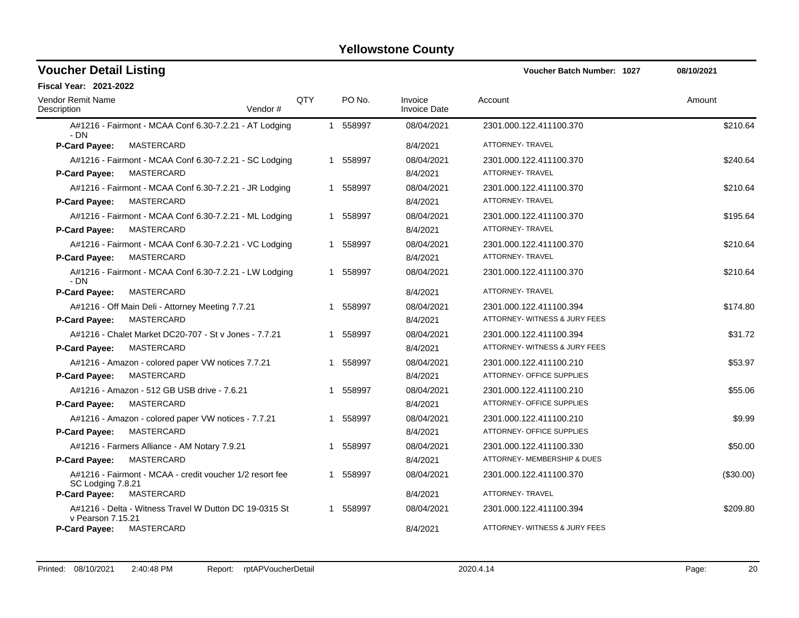| <b>Voucher Detail Listing</b>           |                                                          |         |     |          |                                | <b>Voucher Batch Number: 1027</b> | 08/10/2021 |
|-----------------------------------------|----------------------------------------------------------|---------|-----|----------|--------------------------------|-----------------------------------|------------|
| Fiscal Year: 2021-2022                  |                                                          |         |     |          |                                |                                   |            |
| <b>Vendor Remit Name</b><br>Description |                                                          | Vendor# | QTY | PO No.   | Invoice<br><b>Invoice Date</b> | Account                           | Amount     |
| - DN                                    | A#1216 - Fairmont - MCAA Conf 6.30-7.2.21 - AT Lodging   |         |     | 1 558997 | 08/04/2021                     | 2301.000.122.411100.370           | \$210.64   |
| P-Card Payee:                           | MASTERCARD                                               |         |     |          | 8/4/2021                       | ATTORNEY- TRAVEL                  |            |
|                                         | A#1216 - Fairmont - MCAA Conf 6.30-7.2.21 - SC Lodging   |         |     | 1 558997 | 08/04/2021                     | 2301.000.122.411100.370           | \$240.64   |
| <b>P-Card Payee:</b>                    | MASTERCARD                                               |         |     |          | 8/4/2021                       | ATTORNEY- TRAVEL                  |            |
|                                         | A#1216 - Fairmont - MCAA Conf 6.30-7.2.21 - JR Lodging   |         |     | 1 558997 | 08/04/2021                     | 2301.000.122.411100.370           | \$210.64   |
| P-Card Payee:                           | MASTERCARD                                               |         |     |          | 8/4/2021                       | <b>ATTORNEY- TRAVEL</b>           |            |
|                                         | A#1216 - Fairmont - MCAA Conf 6.30-7.2.21 - ML Lodging   |         |     | 1 558997 | 08/04/2021                     | 2301.000.122.411100.370           | \$195.64   |
| P-Card Payee:                           | <b>MASTERCARD</b>                                        |         |     |          | 8/4/2021                       | <b>ATTORNEY- TRAVEL</b>           |            |
|                                         | A#1216 - Fairmont - MCAA Conf 6.30-7.2.21 - VC Lodging   |         |     | 1 558997 | 08/04/2021                     | 2301.000.122.411100.370           | \$210.64   |
| P-Card Payee:                           | MASTERCARD                                               |         |     |          | 8/4/2021                       | <b>ATTORNEY- TRAVEL</b>           |            |
| $- DN$                                  | A#1216 - Fairmont - MCAA Conf 6.30-7.2.21 - LW Lodging   |         |     | 1 558997 | 08/04/2021                     | 2301.000.122.411100.370           | \$210.64   |
| <b>P-Card Payee:</b>                    | MASTERCARD                                               |         |     |          | 8/4/2021                       | ATTORNEY- TRAVEL                  |            |
|                                         | A#1216 - Off Main Deli - Attorney Meeting 7.7.21         |         |     | 1 558997 | 08/04/2021                     | 2301.000.122.411100.394           | \$174.80   |
| <b>P-Card Payee:</b>                    | MASTERCARD                                               |         |     |          | 8/4/2021                       | ATTORNEY- WITNESS & JURY FEES     |            |
|                                         | A#1216 - Chalet Market DC20-707 - St v Jones - 7.7.21    |         |     | 1 558997 | 08/04/2021                     | 2301.000.122.411100.394           | \$31.72    |
| <b>P-Card Payee:</b>                    | MASTERCARD                                               |         |     |          | 8/4/2021                       | ATTORNEY- WITNESS & JURY FEES     |            |
|                                         | A#1216 - Amazon - colored paper VW notices 7.7.21        |         |     | 1 558997 | 08/04/2021                     | 2301.000.122.411100.210           | \$53.97    |
| P-Card Payee:                           | MASTERCARD                                               |         |     |          | 8/4/2021                       | ATTORNEY- OFFICE SUPPLIES         |            |
|                                         | A#1216 - Amazon - 512 GB USB drive - 7.6.21              |         |     | 1 558997 | 08/04/2021                     | 2301.000.122.411100.210           | \$55.06    |
| P-Card Payee:                           | MASTERCARD                                               |         |     |          | 8/4/2021                       | ATTORNEY- OFFICE SUPPLIES         |            |
|                                         | A#1216 - Amazon - colored paper VW notices - 7.7.21      |         |     | 1 558997 | 08/04/2021                     | 2301.000.122.411100.210           | \$9.99     |
| <b>P-Card Payee:</b>                    | <b>MASTERCARD</b>                                        |         |     |          | 8/4/2021                       | ATTORNEY- OFFICE SUPPLIES         |            |
|                                         | A#1216 - Farmers Alliance - AM Notary 7.9.21             |         |     | 1 558997 | 08/04/2021                     | 2301.000.122.411100.330           | \$50.00    |
| <b>P-Card Payee:</b>                    | MASTERCARD                                               |         |     |          | 8/4/2021                       | ATTORNEY- MEMBERSHIP & DUES       |            |
| SC Lodging 7.8.21                       | A#1216 - Fairmont - MCAA - credit voucher 1/2 resort fee |         |     | 1 558997 | 08/04/2021                     | 2301.000.122.411100.370           | (\$30.00)  |
| P-Card Payee:                           | MASTERCARD                                               |         |     |          | 8/4/2021                       | ATTORNEY- TRAVEL                  |            |
| v Pearson 7.15.21                       | A#1216 - Delta - Witness Travel W Dutton DC 19-0315 St   |         |     | 1 558997 | 08/04/2021                     | 2301.000.122.411100.394           | \$209.80   |
| <b>P-Card Payee:</b>                    | MASTERCARD                                               |         |     |          | 8/4/2021                       | ATTORNEY- WITNESS & JURY FEES     |            |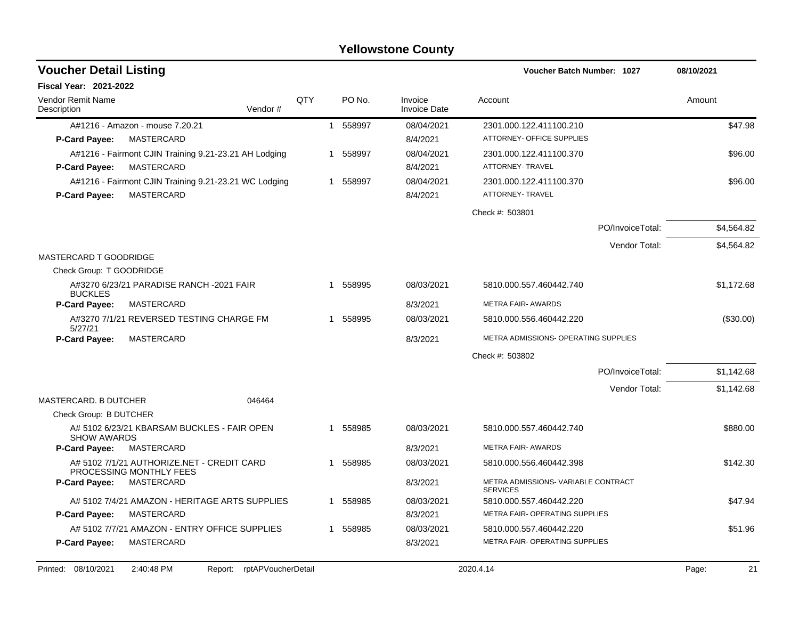| <b>Voucher Detail Listing</b>                                                |            |   |          |                                | <b>Voucher Batch Number: 1027</b>                      |                  | 08/10/2021  |
|------------------------------------------------------------------------------|------------|---|----------|--------------------------------|--------------------------------------------------------|------------------|-------------|
| <b>Fiscal Year: 2021-2022</b>                                                |            |   |          |                                |                                                        |                  |             |
| <b>Vendor Remit Name</b><br>Vendor#<br>Description                           | <b>QTY</b> |   | PO No.   | Invoice<br><b>Invoice Date</b> | Account                                                |                  | Amount      |
| A#1216 - Amazon - mouse 7.20.21                                              |            |   | 1 558997 | 08/04/2021                     | 2301.000.122.411100.210                                |                  | \$47.98     |
| MASTERCARD<br>P-Card Payee:                                                  |            |   |          | 8/4/2021                       | ATTORNEY- OFFICE SUPPLIES                              |                  |             |
| A#1216 - Fairmont CJIN Training 9.21-23.21 AH Lodging                        |            | 1 | 558997   | 08/04/2021                     | 2301.000.122.411100.370                                |                  | \$96.00     |
| MASTERCARD<br>P-Card Payee:                                                  |            |   |          | 8/4/2021                       | ATTORNEY- TRAVEL                                       |                  |             |
| A#1216 - Fairmont CJIN Training 9.21-23.21 WC Lodging                        |            |   | 1 558997 | 08/04/2021                     | 2301.000.122.411100.370                                |                  | \$96.00     |
| MASTERCARD<br><b>P-Card Payee:</b>                                           |            |   |          | 8/4/2021                       | <b>ATTORNEY- TRAVEL</b>                                |                  |             |
|                                                                              |            |   |          |                                | Check #: 503801                                        |                  |             |
|                                                                              |            |   |          |                                |                                                        | PO/InvoiceTotal: | \$4,564.82  |
|                                                                              |            |   |          |                                |                                                        | Vendor Total:    | \$4,564.82  |
| <b>MASTERCARD T GOODRIDGE</b>                                                |            |   |          |                                |                                                        |                  |             |
| Check Group: T GOODRIDGE                                                     |            |   |          |                                |                                                        |                  |             |
| A#3270 6/23/21 PARADISE RANCH -2021 FAIR<br><b>BUCKLES</b>                   |            |   | 1 558995 | 08/03/2021                     | 5810.000.557.460442.740                                |                  | \$1,172.68  |
| <b>P-Card Payee:</b><br>MASTERCARD                                           |            |   |          | 8/3/2021                       | <b>METRA FAIR- AWARDS</b>                              |                  |             |
| A#3270 7/1/21 REVERSED TESTING CHARGE FM<br>5/27/21                          |            | 1 | 558995   | 08/03/2021                     | 5810.000.556.460442.220                                |                  | (\$30.00)   |
| P-Card Payee:<br>MASTERCARD                                                  |            |   |          | 8/3/2021                       | METRA ADMISSIONS- OPERATING SUPPLIES                   |                  |             |
|                                                                              |            |   |          |                                | Check #: 503802                                        |                  |             |
|                                                                              |            |   |          |                                |                                                        | PO/InvoiceTotal: | \$1,142.68  |
|                                                                              |            |   |          |                                |                                                        | Vendor Total:    | \$1,142.68  |
| 046464<br>MASTERCARD. B DUTCHER                                              |            |   |          |                                |                                                        |                  |             |
| Check Group: B DUTCHER                                                       |            |   |          |                                |                                                        |                  |             |
| A# 5102 6/23/21 KBARSAM BUCKLES - FAIR OPEN<br><b>SHOW AWARDS</b>            |            | 1 | 558985   | 08/03/2021                     | 5810.000.557.460442.740                                |                  | \$880.00    |
| P-Card Payee:<br>MASTERCARD                                                  |            |   |          | 8/3/2021                       | <b>METRA FAIR- AWARDS</b>                              |                  |             |
| A# 5102 7/1/21 AUTHORIZE.NET - CREDIT CARD<br><b>PROCESSING MONTHLY FEES</b> |            | 1 | 558985   | 08/03/2021                     | 5810.000.556.460442.398                                |                  | \$142.30    |
| MASTERCARD<br><b>P-Card Payee:</b>                                           |            |   |          | 8/3/2021                       | METRA ADMISSIONS- VARIABLE CONTRACT<br><b>SERVICES</b> |                  |             |
| A# 5102 7/4/21 AMAZON - HERITAGE ARTS SUPPLIES                               |            |   | 1 558985 | 08/03/2021                     | 5810.000.557.460442.220                                |                  | \$47.94     |
| <b>P-Card Payee:</b><br>MASTERCARD                                           |            |   |          | 8/3/2021                       | METRA FAIR- OPERATING SUPPLIES                         |                  |             |
| A# 5102 7/7/21 AMAZON - ENTRY OFFICE SUPPLIES                                |            |   | 1 558985 | 08/03/2021                     | 5810.000.557.460442.220                                |                  | \$51.96     |
| <b>P-Card Payee:</b><br>MASTERCARD                                           |            |   |          | 8/3/2021                       | METRA FAIR- OPERATING SUPPLIES                         |                  |             |
| Printed: 08/10/2021<br>Report: rptAPVoucherDetail<br>2:40:48 PM              |            |   |          |                                | 2020.4.14                                              |                  | 21<br>Page: |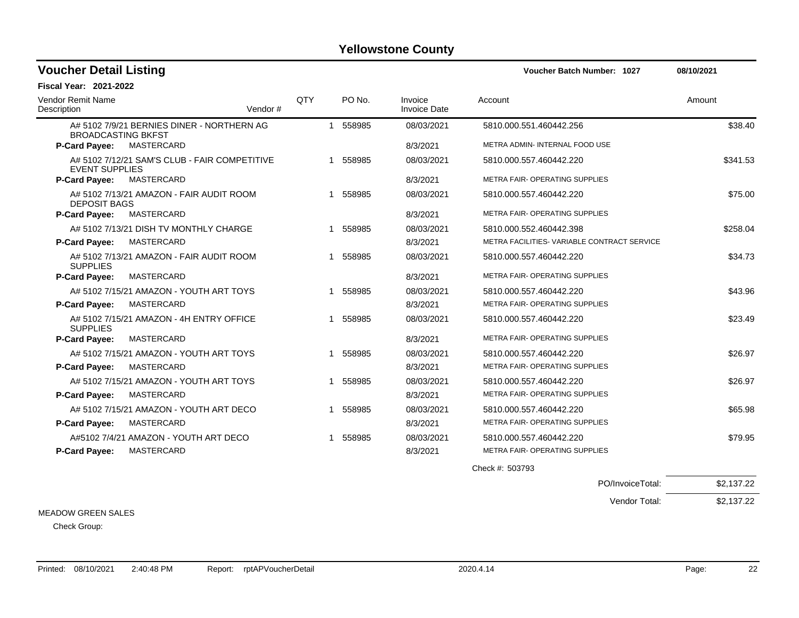| <b>Voucher Detail Listing</b>                                           |     |    |          |                                | Voucher Batch Number: 1027                  | 08/10/2021 |
|-------------------------------------------------------------------------|-----|----|----------|--------------------------------|---------------------------------------------|------------|
| <b>Fiscal Year: 2021-2022</b>                                           |     |    |          |                                |                                             |            |
| Vendor Remit Name<br>Description<br>Vendor#                             | QTY |    | PO No.   | Invoice<br><b>Invoice Date</b> | Account                                     | Amount     |
| A# 5102 7/9/21 BERNIES DINER - NORTHERN AG<br><b>BROADCASTING BKFST</b> |     |    | 1 558985 | 08/03/2021                     | 5810.000.551.460442.256                     | \$38.40    |
| MASTERCARD<br><b>P-Card Payee:</b>                                      |     |    |          | 8/3/2021                       | METRA ADMIN- INTERNAL FOOD USE              |            |
| A# 5102 7/12/21 SAM'S CLUB - FAIR COMPETITIVE<br><b>EVENT SUPPLIES</b>  |     |    | 1 558985 | 08/03/2021                     | 5810.000.557.460442.220                     | \$341.53   |
| MASTERCARD<br>P-Card Payee:                                             |     |    |          | 8/3/2021                       | METRA FAIR- OPERATING SUPPLIES              |            |
| A# 5102 7/13/21 AMAZON - FAIR AUDIT ROOM<br><b>DEPOSIT BAGS</b>         |     |    | 558985   | 08/03/2021                     | 5810.000.557.460442.220                     | \$75.00    |
| MASTERCARD<br><b>P-Card Payee:</b>                                      |     |    |          | 8/3/2021                       | METRA FAIR- OPERATING SUPPLIES              |            |
| A# 5102 7/13/21 DISH TV MONTHLY CHARGE                                  |     |    | 558985   | 08/03/2021                     | 5810.000.552.460442.398                     | \$258.04   |
| MASTERCARD<br><b>P-Card Payee:</b>                                      |     |    |          | 8/3/2021                       | METRA FACILITIES- VARIABLE CONTRACT SERVICE |            |
| A# 5102 7/13/21 AMAZON - FAIR AUDIT ROOM<br><b>SUPPLIES</b>             |     |    | 558985   | 08/03/2021                     | 5810.000.557.460442.220                     | \$34.73    |
| MASTERCARD<br>P-Card Payee:                                             |     |    |          | 8/3/2021                       | <b>METRA FAIR- OPERATING SUPPLIES</b>       |            |
| A# 5102 7/15/21 AMAZON - YOUTH ART TOYS                                 |     | -1 | 558985   | 08/03/2021                     | 5810.000.557.460442.220                     | \$43.96    |
| MASTERCARD<br>P-Card Payee:                                             |     |    |          | 8/3/2021                       | METRA FAIR- OPERATING SUPPLIES              |            |
| A# 5102 7/15/21 AMAZON - 4H ENTRY OFFICE<br>SUPPLIES                    |     |    | 558985   | 08/03/2021                     | 5810.000.557.460442.220                     | \$23.49    |
| MASTERCARD<br><b>P-Card Payee:</b>                                      |     |    |          | 8/3/2021                       | METRA FAIR- OPERATING SUPPLIES              |            |
| A# 5102 7/15/21 AMAZON - YOUTH ART TOYS                                 |     | 1  | 558985   | 08/03/2021                     | 5810.000.557.460442.220                     | \$26.97    |
| MASTERCARD<br>P-Card Payee:                                             |     |    |          | 8/3/2021                       | <b>METRA FAIR- OPERATING SUPPLIES</b>       |            |
| A# 5102 7/15/21 AMAZON - YOUTH ART TOYS                                 |     | 1  | 558985   | 08/03/2021                     | 5810.000.557.460442.220                     | \$26.97    |
| MASTERCARD<br>P-Card Payee:                                             |     |    |          | 8/3/2021                       | METRA FAIR- OPERATING SUPPLIES              |            |
| A# 5102 7/15/21 AMAZON - YOUTH ART DECO                                 |     |    | 558985   | 08/03/2021                     | 5810.000.557.460442.220                     | \$65.98    |
| MASTERCARD<br>P-Card Payee:                                             |     |    |          | 8/3/2021                       | <b>METRA FAIR- OPERATING SUPPLIES</b>       |            |
| A#5102 7/4/21 AMAZON - YOUTH ART DECO                                   |     |    | 558985   | 08/03/2021                     | 5810.000.557.460442.220                     | \$79.95    |
| MASTERCARD<br>P-Card Payee:                                             |     |    |          | 8/3/2021                       | METRA FAIR- OPERATING SUPPLIES              |            |
|                                                                         |     |    |          |                                | Check #: 503793                             |            |

MEADOW GREEN SALES

Check Group:

PO/InvoiceTotal: \$2,137.22 Vendor Total: \$2,137.22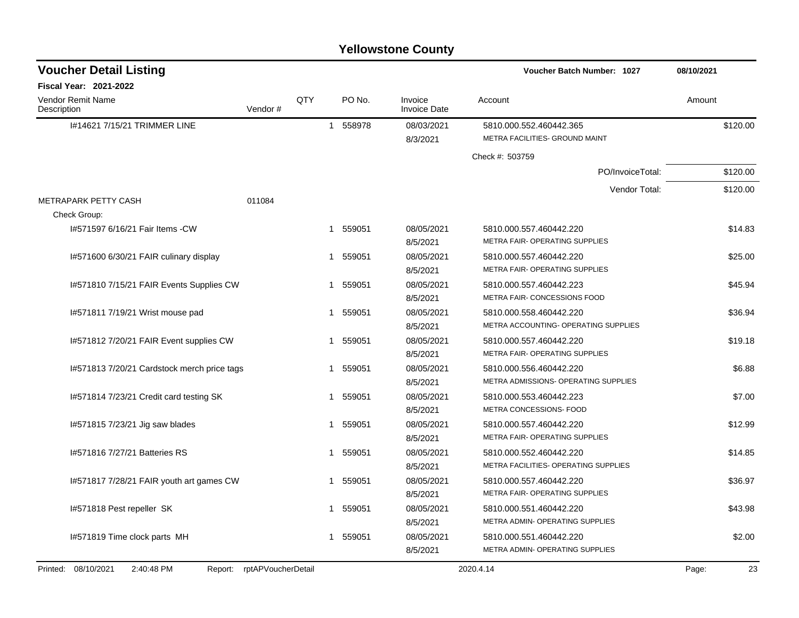| <b>Voucher Detail Listing</b>                |                    |     |                        |                                | Voucher Batch Number: 1027                                      | 08/10/2021  |
|----------------------------------------------|--------------------|-----|------------------------|--------------------------------|-----------------------------------------------------------------|-------------|
| Fiscal Year: 2021-2022                       |                    |     |                        |                                |                                                                 |             |
| Vendor Remit Name<br>Description             | Vendor#            | QTY | PO No.                 | Invoice<br><b>Invoice Date</b> | Account                                                         | Amount      |
| I#14621 7/15/21 TRIMMER LINE                 |                    |     | 1 558978               | 08/03/2021<br>8/3/2021         | 5810.000.552.460442.365<br>METRA FACILITIES- GROUND MAINT       | \$120.00    |
|                                              |                    |     |                        |                                | Check #: 503759                                                 |             |
|                                              |                    |     |                        |                                | PO/InvoiceTotal:                                                | \$120.00    |
|                                              |                    |     |                        |                                | Vendor Total:                                                   | \$120.00    |
| <b>METRAPARK PETTY CASH</b>                  | 011084             |     |                        |                                |                                                                 |             |
| Check Group:                                 |                    |     |                        |                                |                                                                 |             |
| I#571597 6/16/21 Fair Items - CW             |                    |     | 1 559051               | 08/05/2021                     | 5810.000.557.460442.220                                         | \$14.83     |
|                                              |                    |     |                        | 8/5/2021                       | METRA FAIR- OPERATING SUPPLIES                                  |             |
| I#571600 6/30/21 FAIR culinary display       |                    |     | 1 559051               | 08/05/2021                     | 5810.000.557.460442.220                                         | \$25.00     |
|                                              |                    |     |                        | 8/5/2021                       | METRA FAIR- OPERATING SUPPLIES                                  |             |
| I#571810 7/15/21 FAIR Events Supplies CW     |                    |     | 559051<br>1            | 08/05/2021                     | 5810.000.557.460442.223                                         | \$45.94     |
|                                              |                    |     |                        | 8/5/2021                       | METRA FAIR- CONCESSIONS FOOD                                    |             |
| I#571811 7/19/21 Wrist mouse pad             |                    |     | 559051<br>1            | 08/05/2021                     | 5810.000.558.460442.220                                         | \$36.94     |
|                                              |                    |     |                        | 8/5/2021                       | METRA ACCOUNTING- OPERATING SUPPLIES                            |             |
| I#571812 7/20/21 FAIR Event supplies CW      |                    |     | 559051<br>1            | 08/05/2021                     | 5810.000.557.460442.220                                         | \$19.18     |
|                                              |                    |     |                        | 8/5/2021                       | METRA FAIR- OPERATING SUPPLIES                                  |             |
| I#571813 7/20/21 Cardstock merch price tags  |                    |     | 559051<br>$\mathbf{1}$ | 08/05/2021                     | 5810.000.556.460442.220<br>METRA ADMISSIONS- OPERATING SUPPLIES | \$6.88      |
|                                              |                    |     |                        | 8/5/2021                       |                                                                 |             |
| I#571814 7/23/21 Credit card testing SK      |                    |     | 559051<br>$\mathbf 1$  | 08/05/2021                     | 5810.000.553.460442.223<br>METRA CONCESSIONS- FOOD              | \$7.00      |
|                                              |                    |     |                        | 8/5/2021                       |                                                                 |             |
| #571815 7/23/21 Jig saw blades               |                    |     | 559051<br>1            | 08/05/2021<br>8/5/2021         | 5810.000.557.460442.220<br>METRA FAIR- OPERATING SUPPLIES       | \$12.99     |
| I#571816 7/27/21 Batteries RS                |                    |     | 559051<br>1            | 08/05/2021                     | 5810.000.552.460442.220                                         | \$14.85     |
|                                              |                    |     |                        | 8/5/2021                       | METRA FACILITIES- OPERATING SUPPLIES                            |             |
| I#571817 7/28/21 FAIR youth art games CW     |                    |     | 559051<br>1            | 08/05/2021                     | 5810.000.557.460442.220                                         | \$36.97     |
|                                              |                    |     |                        | 8/5/2021                       | METRA FAIR- OPERATING SUPPLIES                                  |             |
| I#571818 Pest repeller SK                    |                    |     | 1 559051               | 08/05/2021                     | 5810.000.551.460442.220                                         | \$43.98     |
|                                              |                    |     |                        | 8/5/2021                       | METRA ADMIN- OPERATING SUPPLIES                                 |             |
| I#571819 Time clock parts MH                 |                    |     | 1 559051               | 08/05/2021                     | 5810.000.551.460442.220                                         | \$2.00      |
|                                              |                    |     |                        | 8/5/2021                       | METRA ADMIN- OPERATING SUPPLIES                                 |             |
|                                              |                    |     |                        |                                |                                                                 |             |
| Printed: 08/10/2021<br>2:40:48 PM<br>Report: | rptAPVoucherDetail |     |                        |                                | 2020.4.14                                                       | 23<br>Page: |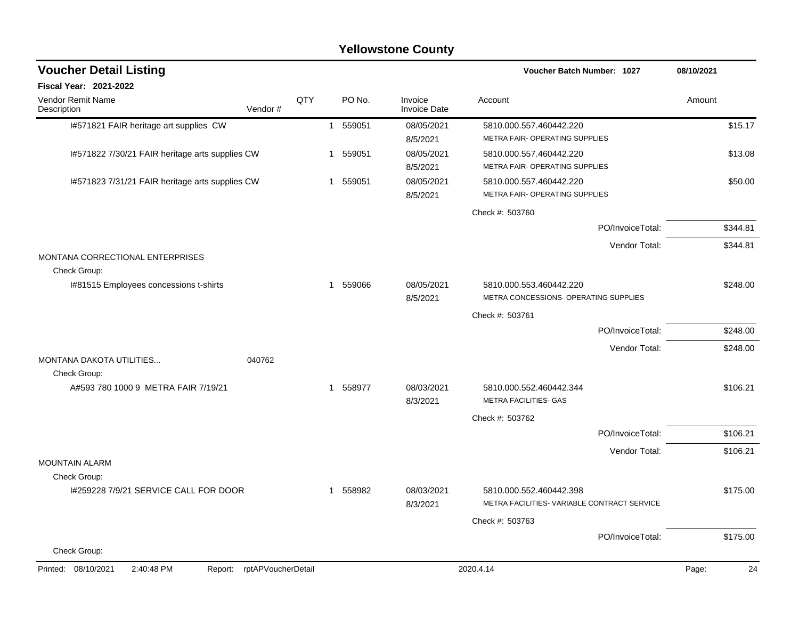| <b>Voucher Detail Listing</b>                                   |     |              |          |                                | <b>Voucher Batch Number: 1027</b>                                      | 08/10/2021  |
|-----------------------------------------------------------------|-----|--------------|----------|--------------------------------|------------------------------------------------------------------------|-------------|
| <b>Fiscal Year: 2021-2022</b>                                   |     |              |          |                                |                                                                        |             |
| Vendor Remit Name<br>Vendor#<br>Description                     | QTY |              | PO No.   | Invoice<br><b>Invoice Date</b> | Account                                                                | Amount      |
| I#571821 FAIR heritage art supplies CW                          |     |              | 1 559051 | 08/05/2021<br>8/5/2021         | 5810.000.557.460442.220<br>METRA FAIR- OPERATING SUPPLIES              | \$15.17     |
| I#571822 7/30/21 FAIR heritage arts supplies CW                 |     |              | 1 559051 | 08/05/2021<br>8/5/2021         | 5810.000.557.460442.220<br>METRA FAIR- OPERATING SUPPLIES              | \$13.08     |
| I#571823 7/31/21 FAIR heritage arts supplies CW                 |     |              | 1 559051 | 08/05/2021<br>8/5/2021         | 5810.000.557.460442.220<br>METRA FAIR- OPERATING SUPPLIES              | \$50.00     |
|                                                                 |     |              |          |                                | Check #: 503760                                                        |             |
|                                                                 |     |              |          |                                | PO/InvoiceTotal:                                                       | \$344.81    |
|                                                                 |     |              |          |                                | Vendor Total:                                                          | \$344.81    |
| MONTANA CORRECTIONAL ENTERPRISES<br>Check Group:                |     |              |          |                                |                                                                        |             |
| I#81515 Employees concessions t-shirts                          |     | $\mathbf{1}$ | 559066   | 08/05/2021<br>8/5/2021         | 5810.000.553.460442.220<br>METRA CONCESSIONS- OPERATING SUPPLIES       | \$248.00    |
|                                                                 |     |              |          |                                | Check #: 503761                                                        |             |
|                                                                 |     |              |          |                                | PO/InvoiceTotal:                                                       | \$248.00    |
|                                                                 |     |              |          |                                | Vendor Total:                                                          | \$248.00    |
| MONTANA DAKOTA UTILITIES<br>040762<br>Check Group:              |     |              |          |                                |                                                                        |             |
| A#593 780 1000 9 METRA FAIR 7/19/21                             |     |              | 1 558977 | 08/03/2021<br>8/3/2021         | 5810.000.552.460442.344<br><b>METRA FACILITIES- GAS</b>                | \$106.21    |
|                                                                 |     |              |          |                                | Check #: 503762                                                        |             |
|                                                                 |     |              |          |                                | PO/InvoiceTotal:                                                       | \$106.21    |
|                                                                 |     |              |          |                                | Vendor Total:                                                          | \$106.21    |
| <b>MOUNTAIN ALARM</b><br>Check Group:                           |     |              |          |                                |                                                                        |             |
| 1#259228 7/9/21 SERVICE CALL FOR DOOR                           |     |              | 1 558982 | 08/03/2021<br>8/3/2021         | 5810.000.552.460442.398<br>METRA FACILITIES- VARIABLE CONTRACT SERVICE | \$175.00    |
|                                                                 |     |              |          |                                | Check #: 503763                                                        |             |
|                                                                 |     |              |          |                                | PO/InvoiceTotal:                                                       | \$175.00    |
| Check Group:                                                    |     |              |          |                                |                                                                        |             |
| 2:40:48 PM<br>Report: rptAPVoucherDetail<br>Printed: 08/10/2021 |     |              |          |                                | 2020.4.14                                                              | 24<br>Page: |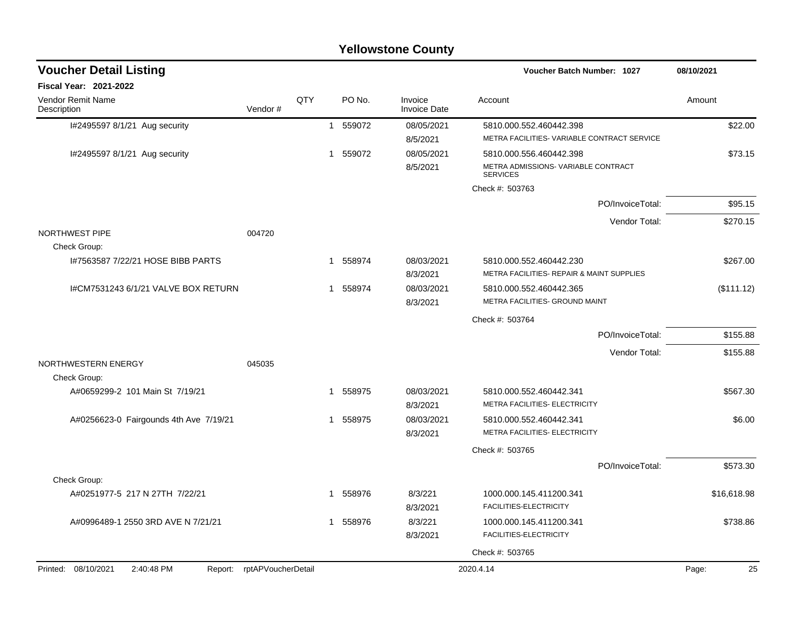|                                        |                            |     |              |          | <b>Yellowstone County</b>      |                                                           |             |
|----------------------------------------|----------------------------|-----|--------------|----------|--------------------------------|-----------------------------------------------------------|-------------|
| <b>Voucher Detail Listing</b>          |                            |     |              |          |                                | <b>Voucher Batch Number: 1027</b>                         | 08/10/2021  |
| Fiscal Year: 2021-2022                 |                            |     |              |          |                                |                                                           |             |
| Vendor Remit Name<br>Description       | Vendor#                    | QTY |              | PO No.   | Invoice<br><b>Invoice Date</b> | Account                                                   | Amount      |
| I#2495597 8/1/21 Aug security          |                            |     | $\mathbf{1}$ | 559072   | 08/05/2021                     | 5810.000.552.460442.398                                   | \$22.00     |
|                                        |                            |     |              |          | 8/5/2021                       | METRA FACILITIES- VARIABLE CONTRACT SERVICE               |             |
| I#2495597 8/1/21 Aug security          |                            |     | $\mathbf{1}$ | 559072   | 08/05/2021                     | 5810.000.556.460442.398                                   | \$73.15     |
|                                        |                            |     |              |          | 8/5/2021                       | METRA ADMISSIONS- VARIABLE CONTRACT<br><b>SERVICES</b>    |             |
|                                        |                            |     |              |          |                                | Check #: 503763                                           |             |
|                                        |                            |     |              |          |                                | PO/InvoiceTotal:                                          | \$95.15     |
|                                        |                            |     |              |          |                                | Vendor Total:                                             | \$270.15    |
| NORTHWEST PIPE<br>Check Group:         | 004720                     |     |              |          |                                |                                                           |             |
| 1#7563587 7/22/21 HOSE BIBB PARTS      |                            |     |              | 1 558974 | 08/03/2021                     | 5810.000.552.460442.230                                   | \$267.00    |
|                                        |                            |     |              |          | 8/3/2021                       | METRA FACILITIES- REPAIR & MAINT SUPPLIES                 |             |
| I#CM7531243 6/1/21 VALVE BOX RETURN    |                            |     | 1            | 558974   | 08/03/2021<br>8/3/2021         | 5810.000.552.460442.365<br>METRA FACILITIES- GROUND MAINT | (\$111.12)  |
|                                        |                            |     |              |          |                                | Check #: 503764                                           |             |
|                                        |                            |     |              |          |                                | PO/InvoiceTotal:                                          | \$155.88    |
|                                        |                            |     |              |          |                                | Vendor Total:                                             | \$155.88    |
| NORTHWESTERN ENERGY                    | 045035                     |     |              |          |                                |                                                           |             |
| Check Group:                           |                            |     |              |          |                                |                                                           |             |
| A#0659299-2 101 Main St 7/19/21        |                            |     | 1            | 558975   | 08/03/2021<br>8/3/2021         | 5810.000.552.460442.341<br>METRA FACILITIES- ELECTRICITY  | \$567.30    |
| A#0256623-0 Fairgounds 4th Ave 7/19/21 |                            |     | 1            | 558975   | 08/03/2021                     | 5810.000.552.460442.341                                   | \$6.00      |
|                                        |                            |     |              |          | 8/3/2021                       | METRA FACILITIES- ELECTRICITY                             |             |
|                                        |                            |     |              |          |                                | Check #: 503765                                           |             |
|                                        |                            |     |              |          |                                | PO/InvoiceTotal:                                          | \$573.30    |
| Check Group:                           |                            |     |              |          |                                |                                                           |             |
| A#0251977-5 217 N 27TH 7/22/21         |                            |     |              | 1 558976 | 8/3/221<br>8/3/2021            | 1000.000.145.411200.341<br>FACILITIES-ELECTRICITY         | \$16,618.98 |
| A#0996489-1 2550 3RD AVE N 7/21/21     |                            |     |              | 1 558976 | 8/3/221                        | 1000.000.145.411200.341                                   | \$738.86    |
|                                        |                            |     |              |          | 8/3/2021                       | FACILITIES-ELECTRICITY                                    |             |
|                                        |                            |     |              |          |                                | Check #: 503765                                           |             |
| Printed: 08/10/2021<br>2:40:48 PM      | Report: rptAPVoucherDetail |     |              |          |                                | 2020.4.14                                                 | Page:<br>25 |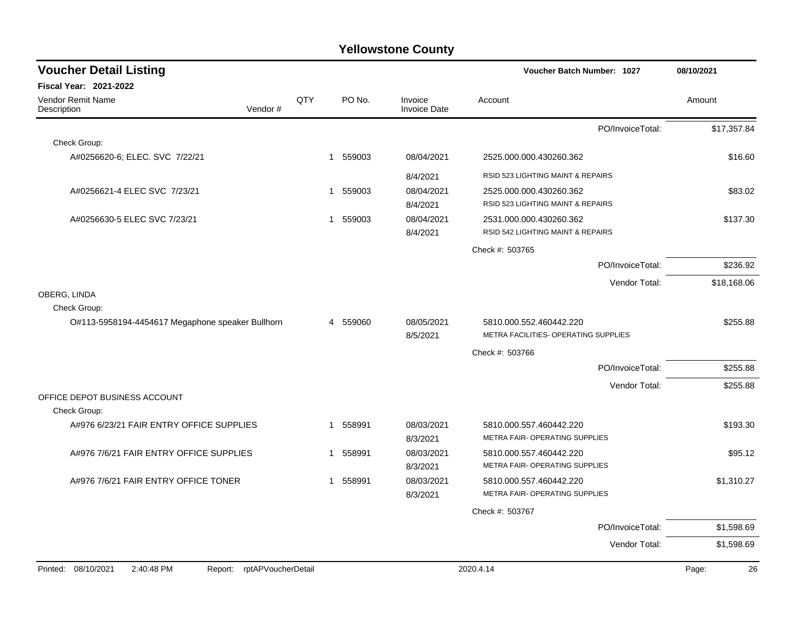| <b>Voucher Detail Listing</b>                    |                    |   |        |                                | Voucher Batch Number: 1027           | 08/10/2021  |
|--------------------------------------------------|--------------------|---|--------|--------------------------------|--------------------------------------|-------------|
| <b>Fiscal Year: 2021-2022</b>                    |                    |   |        |                                |                                      |             |
| Vendor Remit Name<br>Vendor#<br>Description      | QTY                |   | PO No. | Invoice<br><b>Invoice Date</b> | Account                              | Amount      |
|                                                  |                    |   |        |                                | PO/InvoiceTotal:                     | \$17.357.84 |
| Check Group:                                     |                    |   |        |                                |                                      |             |
| A#0256620-6; ELEC. SVC 7/22/21                   |                    | 1 | 559003 | 08/04/2021                     | 2525.000.000.430260.362              | \$16.60     |
|                                                  |                    |   |        | 8/4/2021                       | RSID 523 LIGHTING MAINT & REPAIRS    |             |
| A#0256621-4 ELEC SVC 7/23/21                     |                    | 1 | 559003 | 08/04/2021                     | 2525.000.000.430260.362              | \$83.02     |
|                                                  |                    |   |        | 8/4/2021                       | RSID 523 LIGHTING MAINT & REPAIRS    |             |
| A#0256630-5 ELEC SVC 7/23/21                     |                    | 1 | 559003 | 08/04/2021                     | 2531.000.000.430260.362              | \$137.30    |
|                                                  |                    |   |        | 8/4/2021                       | RSID 542 LIGHTING MAINT & REPAIRS    |             |
|                                                  |                    |   |        |                                | Check #: 503765                      |             |
|                                                  |                    |   |        |                                | PO/InvoiceTotal:                     | \$236.92    |
|                                                  |                    |   |        |                                | Vendor Total:                        | \$18,168.06 |
| OBERG, LINDA                                     |                    |   |        |                                |                                      |             |
| Check Group:                                     |                    |   |        |                                |                                      |             |
| O#113-5958194-4454617 Megaphone speaker Bullhorn |                    | 4 | 559060 | 08/05/2021                     | 5810.000.552.460442.220              | \$255.88    |
|                                                  |                    |   |        | 8/5/2021                       | METRA FACILITIES- OPERATING SUPPLIES |             |
|                                                  |                    |   |        |                                | Check #: 503766                      |             |
|                                                  |                    |   |        |                                | PO/InvoiceTotal:                     | \$255.88    |
|                                                  |                    |   |        |                                | Vendor Total:                        | \$255.88    |
| OFFICE DEPOT BUSINESS ACCOUNT                    |                    |   |        |                                |                                      |             |
| Check Group:                                     |                    |   |        |                                |                                      |             |
| A#976 6/23/21 FAIR ENTRY OFFICE SUPPLIES         |                    | 1 | 558991 | 08/03/2021                     | 5810.000.557.460442.220              | \$193.30    |
|                                                  |                    |   |        | 8/3/2021                       | METRA FAIR- OPERATING SUPPLIES       |             |
| A#976 7/6/21 FAIR ENTRY OFFICE SUPPLIES          |                    | 1 | 558991 | 08/03/2021                     | 5810.000.557.460442.220              | \$95.12     |
|                                                  |                    |   |        | 8/3/2021                       | METRA FAIR- OPERATING SUPPLIES       |             |
| A#976 7/6/21 FAIR ENTRY OFFICE TONER             |                    | 1 | 558991 | 08/03/2021                     | 5810.000.557.460442.220              | \$1,310.27  |
|                                                  |                    |   |        | 8/3/2021                       | METRA FAIR- OPERATING SUPPLIES       |             |
|                                                  |                    |   |        |                                | Check #: 503767                      |             |
|                                                  |                    |   |        |                                | PO/InvoiceTotal:                     | \$1,598.69  |
|                                                  |                    |   |        |                                | Vendor Total:                        | \$1,598.69  |
| Printed: 08/10/2021<br>2:40:48 PM<br>Report:     | rptAPVoucherDetail |   |        |                                | 2020.4.14                            | 26<br>Page: |
|                                                  |                    |   |        |                                |                                      |             |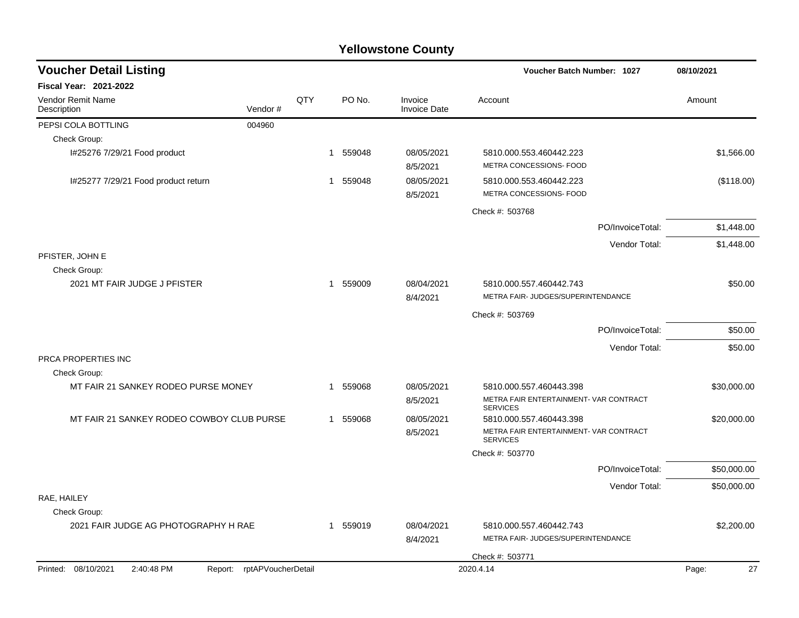| <b>Voucher Detail Listing</b>                                   |     |                  |                                | <b>Voucher Batch Number: 1027</b>                                                    | 08/10/2021  |
|-----------------------------------------------------------------|-----|------------------|--------------------------------|--------------------------------------------------------------------------------------|-------------|
| <b>Fiscal Year: 2021-2022</b>                                   |     |                  |                                |                                                                                      |             |
| Vendor Remit Name<br>Vendor#<br>Description                     | QTY | PO <sub>No</sub> | Invoice<br><b>Invoice Date</b> | Account                                                                              | Amount      |
| PEPSI COLA BOTTLING<br>004960                                   |     |                  |                                |                                                                                      |             |
| Check Group:                                                    |     |                  |                                |                                                                                      |             |
| I#25276 7/29/21 Food product                                    |     | 1 559048         | 08/05/2021<br>8/5/2021         | 5810.000.553.460442.223<br>METRA CONCESSIONS- FOOD                                   | \$1,566.00  |
| I#25277 7/29/21 Food product return                             |     | 1 559048         | 08/05/2021<br>8/5/2021         | 5810.000.553.460442.223<br>METRA CONCESSIONS- FOOD                                   | (\$118.00)  |
|                                                                 |     |                  |                                | Check #: 503768                                                                      |             |
|                                                                 |     |                  |                                | PO/InvoiceTotal:                                                                     | \$1,448.00  |
|                                                                 |     |                  |                                | Vendor Total:                                                                        | \$1,448.00  |
| PFISTER, JOHN E<br>Check Group:                                 |     |                  |                                |                                                                                      |             |
| 2021 MT FAIR JUDGE J PFISTER                                    |     | 559009<br>1      | 08/04/2021<br>8/4/2021         | 5810.000.557.460442.743<br>METRA FAIR- JUDGES/SUPERINTENDANCE                        | \$50.00     |
|                                                                 |     |                  |                                | Check #: 503769                                                                      |             |
|                                                                 |     |                  |                                | PO/InvoiceTotal:                                                                     | \$50.00     |
|                                                                 |     |                  |                                | Vendor Total:                                                                        | \$50.00     |
| PRCA PROPERTIES INC                                             |     |                  |                                |                                                                                      |             |
| Check Group:                                                    |     |                  |                                |                                                                                      |             |
| MT FAIR 21 SANKEY RODEO PURSE MONEY                             |     | 559068<br>1      | 08/05/2021<br>8/5/2021         | 5810.000.557.460443.398<br>METRA FAIR ENTERTAINMENT- VAR CONTRACT<br><b>SERVICES</b> | \$30,000.00 |
| MT FAIR 21 SANKEY RODEO COWBOY CLUB PURSE                       |     | 559068<br>1      | 08/05/2021                     | 5810.000.557.460443.398                                                              | \$20,000.00 |
|                                                                 |     |                  | 8/5/2021                       | METRA FAIR ENTERTAINMENT- VAR CONTRACT<br><b>SERVICES</b>                            |             |
|                                                                 |     |                  |                                | Check #: 503770                                                                      |             |
|                                                                 |     |                  |                                | PO/InvoiceTotal:                                                                     | \$50,000.00 |
|                                                                 |     |                  |                                | Vendor Total:                                                                        | \$50,000.00 |
| RAE, HAILEY                                                     |     |                  |                                |                                                                                      |             |
| Check Group:                                                    |     |                  |                                |                                                                                      | \$2,200.00  |
| 2021 FAIR JUDGE AG PHOTOGRAPHY H RAE                            |     | 559019<br>1      | 08/04/2021<br>8/4/2021         | 5810.000.557.460442.743<br>METRA FAIR- JUDGES/SUPERINTENDANCE                        |             |
|                                                                 |     |                  |                                | Check #: 503771                                                                      |             |
| Printed: 08/10/2021<br>2:40:48 PM<br>Report: rptAPVoucherDetail |     |                  |                                | 2020.4.14                                                                            | 27<br>Page: |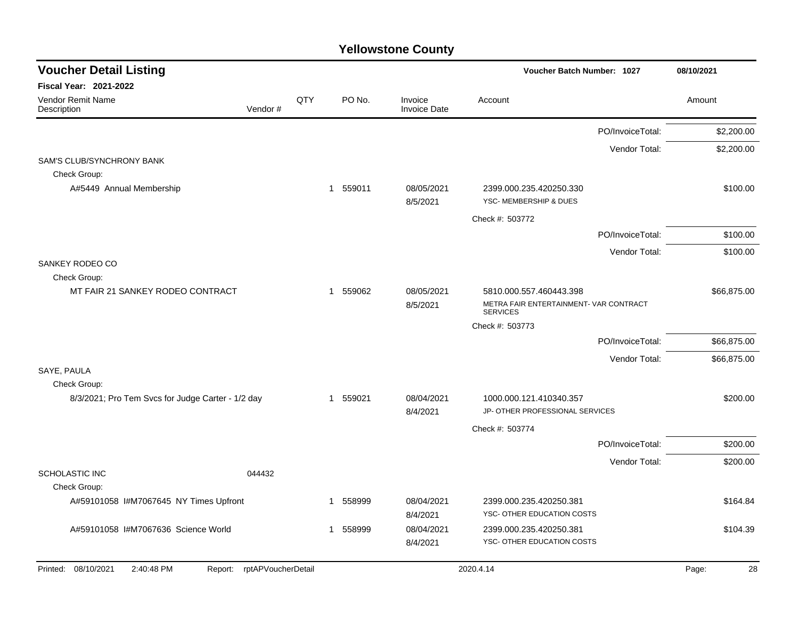| <b>Voucher Detail Listing</b>                     |                            |     |             | Voucher Batch Number: 1027     |                                                                                      | 08/10/2021       |             |
|---------------------------------------------------|----------------------------|-----|-------------|--------------------------------|--------------------------------------------------------------------------------------|------------------|-------------|
| <b>Fiscal Year: 2021-2022</b>                     |                            |     |             |                                |                                                                                      |                  |             |
| Vendor Remit Name<br>Description                  | Vendor#                    | QTY | PO No.      | Invoice<br><b>Invoice Date</b> | Account                                                                              |                  | Amount      |
|                                                   |                            |     |             |                                |                                                                                      | PO/InvoiceTotal: | \$2,200.00  |
|                                                   |                            |     |             |                                |                                                                                      | Vendor Total:    | \$2,200.00  |
| SAM'S CLUB/SYNCHRONY BANK                         |                            |     |             |                                |                                                                                      |                  |             |
| Check Group:                                      |                            |     |             |                                |                                                                                      |                  |             |
| A#5449 Annual Membership                          |                            |     | 1 559011    | 08/05/2021<br>8/5/2021         | 2399.000.235.420250.330<br>YSC- MEMBERSHIP & DUES                                    |                  | \$100.00    |
|                                                   |                            |     |             |                                | Check #: 503772                                                                      |                  |             |
|                                                   |                            |     |             |                                |                                                                                      | PO/InvoiceTotal: | \$100.00    |
|                                                   |                            |     |             |                                |                                                                                      | Vendor Total:    | \$100.00    |
| SANKEY RODEO CO                                   |                            |     |             |                                |                                                                                      |                  |             |
| Check Group:                                      |                            |     |             |                                |                                                                                      |                  |             |
| MT FAIR 21 SANKEY RODEO CONTRACT                  |                            |     | 1 559062    | 08/05/2021<br>8/5/2021         | 5810.000.557.460443.398<br>METRA FAIR ENTERTAINMENT- VAR CONTRACT<br><b>SERVICES</b> |                  | \$66,875.00 |
|                                                   |                            |     |             |                                | Check #: 503773                                                                      |                  |             |
|                                                   |                            |     |             |                                |                                                                                      | PO/InvoiceTotal: | \$66,875.00 |
|                                                   |                            |     |             |                                |                                                                                      | Vendor Total:    | \$66,875.00 |
| SAYE, PAULA                                       |                            |     |             |                                |                                                                                      |                  |             |
| Check Group:                                      |                            |     |             |                                |                                                                                      |                  |             |
| 8/3/2021; Pro Tem Svcs for Judge Carter - 1/2 day |                            |     | 1 559021    | 08/04/2021<br>8/4/2021         | 1000.000.121.410340.357<br>JP- OTHER PROFESSIONAL SERVICES                           |                  | \$200.00    |
|                                                   |                            |     |             |                                | Check #: 503774                                                                      |                  |             |
|                                                   |                            |     |             |                                |                                                                                      | PO/InvoiceTotal: | \$200.00    |
|                                                   |                            |     |             |                                |                                                                                      | Vendor Total:    | \$200.00    |
| <b>SCHOLASTIC INC</b>                             | 044432                     |     |             |                                |                                                                                      |                  |             |
| Check Group:                                      |                            |     |             |                                |                                                                                      |                  |             |
| A#59101058 I#M7067645 NY Times Upfront            |                            |     | 558999<br>1 | 08/04/2021<br>8/4/2021         | 2399.000.235.420250.381<br>YSC- OTHER EDUCATION COSTS                                |                  | \$164.84    |
| A#59101058 I#M7067636 Science World               |                            |     | 558999<br>1 | 08/04/2021                     | 2399.000.235.420250.381                                                              |                  | \$104.39    |
|                                                   |                            |     |             | 8/4/2021                       | YSC- OTHER EDUCATION COSTS                                                           |                  |             |
| Printed: 08/10/2021<br>2:40:48 PM                 | Report: rptAPVoucherDetail |     |             |                                | 2020.4.14                                                                            |                  | Page:<br>28 |
|                                                   |                            |     |             |                                |                                                                                      |                  |             |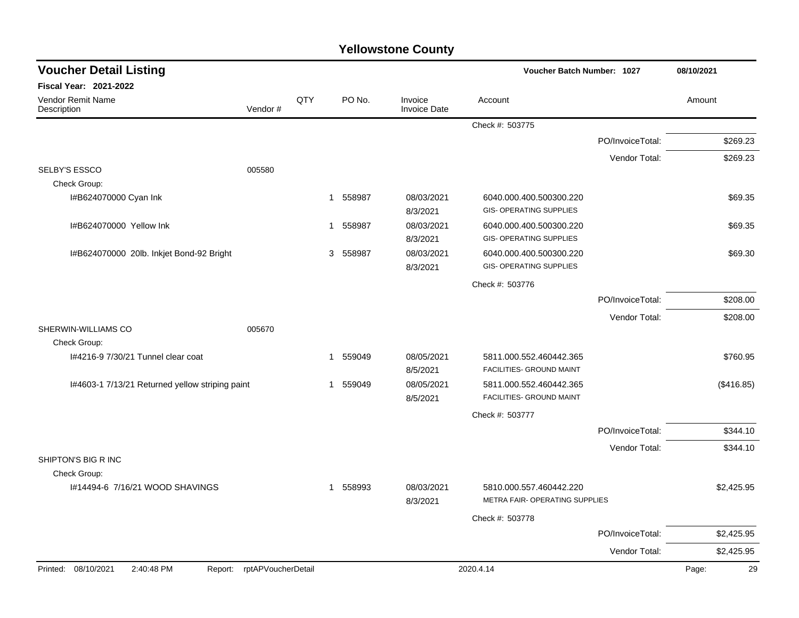### Check #: 503775 PO/InvoiceTotal: \$269.23 Vendor Total: \$269.23 SELBY'S ESSCO 005580 Check Group: I#B624070000 Cyan Ink 1 558987 08/03/2021 6040.000.400.500300.220 \$69.35 8/3/2021 GIS- OPERATING SUPPLIES I#B624070000 Yellow Ink 1 558987 08/03/2021 6040.000.400.500300.220 \$69.35 8/3/2021 GIS- OPERATING SUPPLIES I#B624070000 20lb. Inkjet Bond-92 Bright 3 558987 08/03/2021 6040.000.400.500300.220 \$69.30 8/3/2021 GIS- OPERATING SUPPLIES Check #: 503776 PO/InvoiceTotal: \$208.00 Vendor Total: \$208.00 SHERWIN-WILLIAMS CO 005670 Check Group: I#4216-9 7/30/21 Tunnel clear coat 1 559049 08/05/2021 5811.000.552.460442.365 \$760.95 8/5/2021 FACILITIES- GROUND MAINT I#4603-1 7/13/21 Returned yellow striping paint 1 559049 08/05/2021 5811.000.552.460442.365 (\$416.85) 8/5/2021 FACILITIES- GROUND MAINT Check #: 503777 PO/InvoiceTotal: \$344.10 Vendor Total: \$344.10 SHIPTON'S BIG R INC Check Group: I#14494-6 7/16/21 WOOD SHAVINGS 1 558993 08/03/2021 5810.000.557.460442.220 \$2,425.95 8/3/2021 METRA FAIR- OPERATING SUPPLIES Check #: 503778 PO/InvoiceTotal: \$2,425.95 Vendor Total: \$2,425.95 **Voucher Batch Number: Yellowstone County** Vendor Remit Name Description **Voucher Detail Listing Fiscal Year: 2021-2022 1027 08/10/2021** PO No. Invoice Account Amount Amount Amount Amount Vendor # **QTY** Invoice Date Printed: 08/10/2021 2:40:48 PM Report: rptAPVoucherDetail 2020.4.14 2020.4.14 Page: 29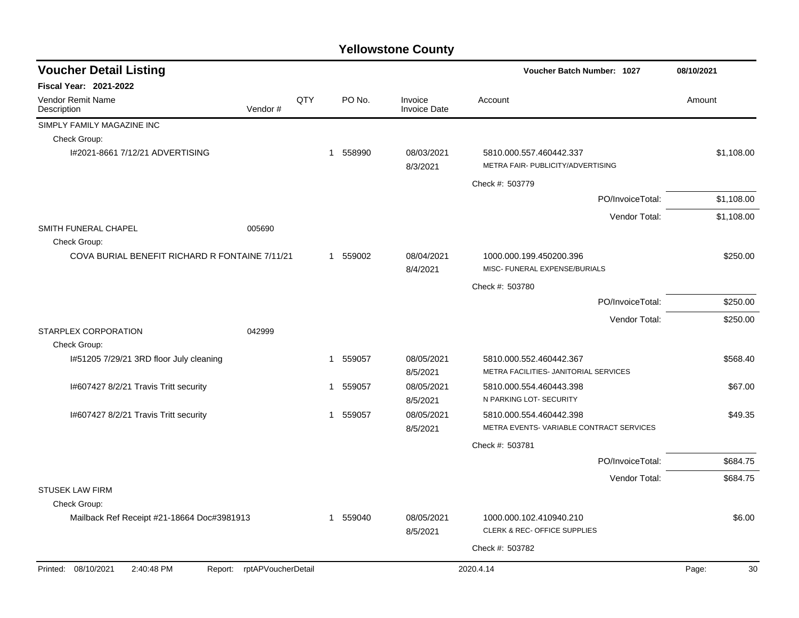| <b>Voucher Detail Listing</b>                                      |     |          |        |                                | Voucher Batch Number: 1027                                         | 08/10/2021  |
|--------------------------------------------------------------------|-----|----------|--------|--------------------------------|--------------------------------------------------------------------|-------------|
| <b>Fiscal Year: 2021-2022</b>                                      |     |          |        |                                |                                                                    |             |
| <b>Vendor Remit Name</b><br>Vendor#<br>Description                 | QTY |          | PO No. | Invoice<br><b>Invoice Date</b> | Account                                                            | Amount      |
| SIMPLY FAMILY MAGAZINE INC                                         |     |          |        |                                |                                                                    |             |
| Check Group:                                                       |     |          |        |                                |                                                                    |             |
| I#2021-8661 7/12/21 ADVERTISING                                    |     | 1 558990 |        | 08/03/2021<br>8/3/2021         | 5810.000.557.460442.337<br>METRA FAIR- PUBLICITY/ADVERTISING       | \$1,108.00  |
|                                                                    |     |          |        |                                | Check #: 503779                                                    |             |
|                                                                    |     |          |        |                                | PO/InvoiceTotal:                                                   | \$1,108.00  |
|                                                                    |     |          |        |                                | Vendor Total:                                                      | \$1,108.00  |
| SMITH FUNERAL CHAPEL<br>005690<br>Check Group:                     |     |          |        |                                |                                                                    |             |
| COVA BURIAL BENEFIT RICHARD R FONTAINE 7/11/21                     |     | 1 559002 |        | 08/04/2021<br>8/4/2021         | 1000.000.199.450200.396<br>MISC- FUNERAL EXPENSE/BURIALS           | \$250.00    |
|                                                                    |     |          |        |                                | Check #: 503780                                                    |             |
|                                                                    |     |          |        |                                | PO/InvoiceTotal:                                                   | \$250.00    |
|                                                                    |     |          |        |                                | Vendor Total:                                                      | \$250.00    |
| STARPLEX CORPORATION<br>042999<br>Check Group:                     |     |          |        |                                |                                                                    |             |
| I#51205 7/29/21 3RD floor July cleaning                            |     | 1 559057 |        | 08/05/2021<br>8/5/2021         | 5810.000.552.460442.367<br>METRA FACILITIES- JANITORIAL SERVICES   | \$568.40    |
| I#607427 8/2/21 Travis Tritt security                              |     | 1 559057 |        | 08/05/2021<br>8/5/2021         | 5810.000.554.460443.398<br>N PARKING LOT- SECURITY                 | \$67.00     |
| I#607427 8/2/21 Travis Tritt security                              |     | 1        | 559057 | 08/05/2021<br>8/5/2021         | 5810.000.554.460442.398<br>METRA EVENTS-VARIABLE CONTRACT SERVICES | \$49.35     |
|                                                                    |     |          |        |                                | Check #: 503781                                                    |             |
|                                                                    |     |          |        |                                | PO/InvoiceTotal:                                                   | \$684.75    |
|                                                                    |     |          |        |                                | Vendor Total:                                                      | \$684.75    |
| <b>STUSEK LAW FIRM</b><br>Check Group:                             |     |          |        |                                |                                                                    |             |
| Mailback Ref Receipt #21-18664 Doc#3981913                         |     | 1        | 559040 | 08/05/2021<br>8/5/2021         | 1000.000.102.410940.210<br>CLERK & REC- OFFICE SUPPLIES            | \$6.00      |
|                                                                    |     |          |        |                                | Check #: 503782                                                    |             |
| Printed: 08/10/2021<br>2:40:48 PM<br>rptAPVoucherDetail<br>Report: |     |          |        |                                | 2020.4.14                                                          | Page:<br>30 |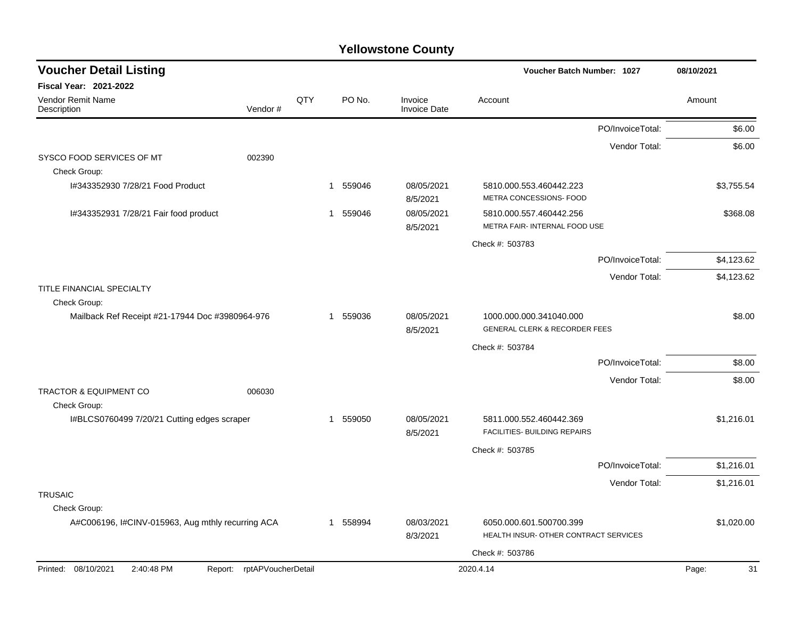| <b>Voucher Detail Listing</b>                     |                            |     |   |          |                                | <b>Voucher Batch Number: 1027</b>                                   |                  | 08/10/2021  |
|---------------------------------------------------|----------------------------|-----|---|----------|--------------------------------|---------------------------------------------------------------------|------------------|-------------|
| <b>Fiscal Year: 2021-2022</b>                     |                            |     |   |          |                                |                                                                     |                  |             |
| Vendor Remit Name<br>Description                  | Vendor#                    | QTY |   | PO No.   | Invoice<br><b>Invoice Date</b> | Account                                                             |                  | Amount      |
|                                                   |                            |     |   |          |                                |                                                                     | PO/InvoiceTotal: | \$6.00      |
|                                                   |                            |     |   |          |                                |                                                                     | Vendor Total:    | \$6.00      |
| SYSCO FOOD SERVICES OF MT<br>Check Group:         | 002390                     |     |   |          |                                |                                                                     |                  |             |
| I#343352930 7/28/21 Food Product                  |                            |     | 1 | 559046   | 08/05/2021<br>8/5/2021         | 5810.000.553.460442.223<br>METRA CONCESSIONS- FOOD                  |                  | \$3,755.54  |
| I#343352931 7/28/21 Fair food product             |                            |     | 1 | 559046   | 08/05/2021<br>8/5/2021         | 5810.000.557.460442.256<br>METRA FAIR- INTERNAL FOOD USE            |                  | \$368.08    |
|                                                   |                            |     |   |          |                                | Check #: 503783                                                     |                  |             |
|                                                   |                            |     |   |          |                                |                                                                     | PO/InvoiceTotal: | \$4,123.62  |
|                                                   |                            |     |   |          |                                |                                                                     | Vendor Total:    | \$4,123.62  |
| TITLE FINANCIAL SPECIALTY<br>Check Group:         |                            |     |   |          |                                |                                                                     |                  |             |
| Mailback Ref Receipt #21-17944 Doc #3980964-976   |                            |     | 1 | 559036   | 08/05/2021<br>8/5/2021         | 1000.000.000.341040.000<br><b>GENERAL CLERK &amp; RECORDER FEES</b> |                  | \$8.00      |
|                                                   |                            |     |   |          |                                | Check #: 503784                                                     |                  |             |
|                                                   |                            |     |   |          |                                |                                                                     | PO/InvoiceTotal: | \$8.00      |
|                                                   |                            |     |   |          |                                |                                                                     | Vendor Total:    | \$8.00      |
| <b>TRACTOR &amp; EQUIPMENT CO</b><br>Check Group: | 006030                     |     |   |          |                                |                                                                     |                  |             |
| I#BLCS0760499 7/20/21 Cutting edges scraper       |                            |     | 1 | 559050   | 08/05/2021<br>8/5/2021         | 5811.000.552.460442.369<br>FACILITIES- BUILDING REPAIRS             |                  | \$1,216.01  |
|                                                   |                            |     |   |          |                                | Check #: 503785                                                     |                  |             |
|                                                   |                            |     |   |          |                                |                                                                     | PO/InvoiceTotal: | \$1,216.01  |
|                                                   |                            |     |   |          |                                |                                                                     | Vendor Total:    | \$1,216.01  |
| <b>TRUSAIC</b><br>Check Group:                    |                            |     |   |          |                                |                                                                     |                  |             |
| A#C006196, I#CINV-015963, Aug mthly recurring ACA |                            |     |   | 1 558994 | 08/03/2021<br>8/3/2021         | 6050.000.601.500700.399<br>HEALTH INSUR- OTHER CONTRACT SERVICES    |                  | \$1,020.00  |
|                                                   |                            |     |   |          |                                | Check #: 503786                                                     |                  |             |
| Printed: 08/10/2021<br>2:40:48 PM                 | Report: rptAPVoucherDetail |     |   |          |                                | 2020.4.14                                                           |                  | 31<br>Page: |
|                                                   |                            |     |   |          |                                |                                                                     |                  |             |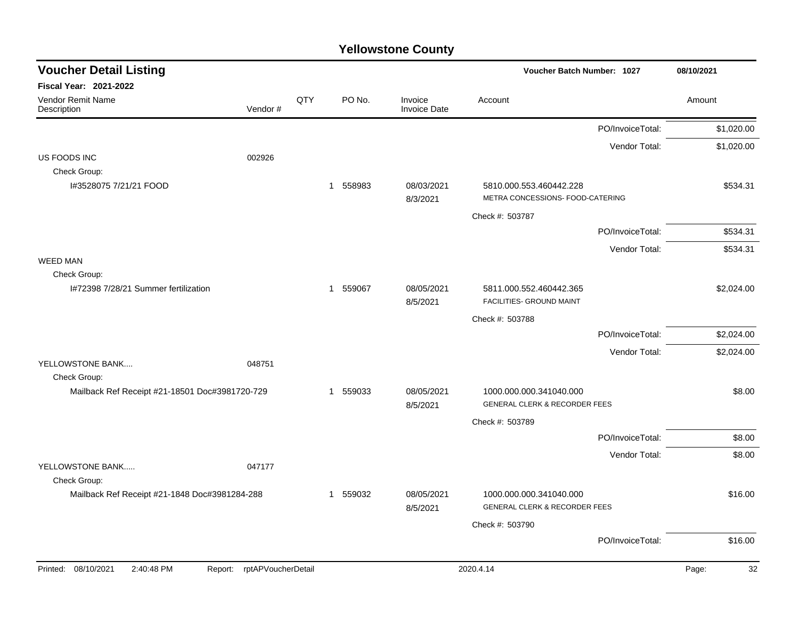| <b>Voucher Detail Listing</b>                                      |     |                        |                                | <b>Voucher Batch Number: 1027</b>                                   | 08/10/2021                     |
|--------------------------------------------------------------------|-----|------------------------|--------------------------------|---------------------------------------------------------------------|--------------------------------|
| <b>Fiscal Year: 2021-2022</b>                                      |     |                        |                                |                                                                     |                                |
| Vendor Remit Name<br>Vendor#<br>Description                        | QTY | PO No.                 | Invoice<br><b>Invoice Date</b> | Account                                                             | Amount                         |
|                                                                    |     |                        |                                |                                                                     | PO/InvoiceTotal:<br>\$1,020.00 |
|                                                                    |     |                        |                                |                                                                     | \$1,020.00<br>Vendor Total:    |
| US FOODS INC<br>002926                                             |     |                        |                                |                                                                     |                                |
| Check Group:<br>I#3528075 7/21/21 FOOD                             |     | 558983<br>1            | 08/03/2021                     | 5810.000.553.460442.228                                             | \$534.31                       |
|                                                                    |     |                        | 8/3/2021                       | METRA CONCESSIONS- FOOD-CATERING                                    |                                |
|                                                                    |     |                        |                                | Check #: 503787                                                     |                                |
|                                                                    |     |                        |                                |                                                                     | PO/InvoiceTotal:<br>\$534.31   |
|                                                                    |     |                        |                                |                                                                     | \$534.31<br>Vendor Total:      |
| <b>WEED MAN</b>                                                    |     |                        |                                |                                                                     |                                |
| Check Group:                                                       |     |                        |                                |                                                                     |                                |
| I#72398 7/28/21 Summer fertilization                               |     | 559067<br>$\mathbf{1}$ | 08/05/2021<br>8/5/2021         | 5811.000.552.460442.365<br>FACILITIES- GROUND MAINT                 | \$2,024.00                     |
|                                                                    |     |                        |                                | Check #: 503788                                                     |                                |
|                                                                    |     |                        |                                |                                                                     | \$2,024.00<br>PO/InvoiceTotal: |
|                                                                    |     |                        |                                |                                                                     | Vendor Total:<br>\$2,024.00    |
| YELLOWSTONE BANK<br>048751<br>Check Group:                         |     |                        |                                |                                                                     |                                |
| Mailback Ref Receipt #21-18501 Doc#3981720-729                     |     | 1 559033               | 08/05/2021<br>8/5/2021         | 1000.000.000.341040.000<br><b>GENERAL CLERK &amp; RECORDER FEES</b> | \$8.00                         |
|                                                                    |     |                        |                                | Check #: 503789                                                     |                                |
|                                                                    |     |                        |                                |                                                                     | \$8.00<br>PO/InvoiceTotal:     |
|                                                                    |     |                        |                                |                                                                     | Vendor Total:<br>\$8.00        |
| YELLOWSTONE BANK<br>047177<br>Check Group:                         |     |                        |                                |                                                                     |                                |
| Mailback Ref Receipt #21-1848 Doc#3981284-288                      |     | 1 559032               | 08/05/2021<br>8/5/2021         | 1000.000.000.341040.000<br><b>GENERAL CLERK &amp; RECORDER FEES</b> | \$16.00                        |
|                                                                    |     |                        |                                | Check #: 503790                                                     |                                |
|                                                                    |     |                        |                                |                                                                     | PO/InvoiceTotal:<br>\$16.00    |
| Printed: 08/10/2021<br>2:40:48 PM<br>rptAPVoucherDetail<br>Report: |     |                        |                                | 2020.4.14                                                           | Page:<br>32                    |